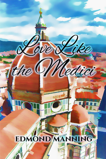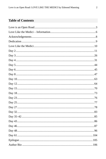## **Table of Contents**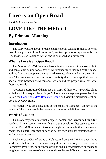# <span id="page-2-0"></span>**Love is an Open Road**

*An M/M Romance series*

## **LOVE LIKE THE MEDICI By Edmond Manning**

#### **Introduction**

The story you are about to read celebrates love, sex and romance between men. It is a product of the *Love is an Open Road* promotion sponsored by the *Goodreads M/M Romance Group* and is published as a gift to you.

#### **What Is Love is an Open Road?**

The *Goodreads M/M Romance Group* invited members to choose a photo and pen a letter asking for a short M/M romance story inspired by the image; authors from the group were encouraged to select a letter and write an original tale. The result was an outpouring of creativity that shone a spotlight on the special bond between M/M romance writers and the people who love what these authors do.

A written description of the image that inspired this story is provided along with the original request letter. If you'd like to view the photo, please feel free to join the [Goodreads M/M Romance Group](http://www.goodreads.com/group/show/20149-m-m-romance) and visit the discussion section: *Love is an Open Road*.

No matter if you are a long-time devotee to M/M Romance, just new to the genre or fall somewhere in between, you are in for a delicious treat.

#### **Words of Caution**

This story may contain sexually explicit content and is **intended for adult readers.** It may contain content that is disagreeable or distressing to some readers. The *M/M Romance Group* strongly recommends that each reader review the General Information section before each story for story tags as well as for content warnings.

Each year, a dedicated group of Volunteers from the M/M Romance Group work hard behind the scenes to bring these stories to you. Our Editors, Formatters, Proofreaders, and those working on Quality Assurance, spend many long hours over a course of several months so that each Event is a success. As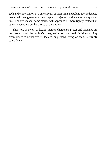each and every author also gives freely of their time and talent, it was decided that all edits suggested may be accepted or rejected by the author at any given time. For this reason, some stories will appear to be more tightly edited than others, depending on the choice of the author.

This story is a work of fiction. Names, characters, places and incidents are the products of the author's imagination or are used fictitiously. Any resemblance to actual events, locales, or persons, living or dead, is entirely coincidental.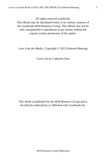All rights reserved worldwide.

This eBook may be distributed freely in its entirety courtesy of the Goodreads M/M Romance Group. This eBook may not be sold, manipulated or reproduced in any format without the express written permission of the author.

Love Like the Medici, Copyright © 2015 Edmond Manning

Cover Art by Catherine Dair

This ebook is published by the *M/M Romance Group* and is not directly endorsed by or affiliated with Goodreads Inc.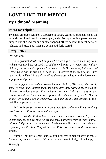# <span id="page-5-0"></span>**LOVE LIKE THE MEDICI By Edmond Manning**

## **Photo Description**

Two men embrace, lying on a cobblestone street. Scattered around them on the ground are colored pencils, a sketchpad, and artist supplies. It appears one man jumped out of a red car and another hopped off his scooter to meet between vehicles and kiss. Both men are young and dark-haired.

### **Story Letter**

#### *Dear Author,*

*I just graduated with my Computer Science degree. I love spending hours with a computer, but I realized it's sad that my biggest excitement and let down of last year were video games (the newest HALO, awesome, but Assassin' Creed: Unity had me drinking in despair). I'm excited about my new job, which pays really well so I'll be able to afford the newest tech toys and video games. Yup, geek and proud.*

*For a guy whose furthest travels include World of Warcraft, this is a big step. No tech (okay, limited tech, not going anywhere without my tricked out phone), no video games (I'm serious). Just me, Italy, art, culture, and cobblestone streets for 2 months. I figured I should make use of that Art History minor (for graphic design reasons… like dabbling in After Effects)* ei miei orribili competenze italiane*.*

*And not because I'm running from a boy. Who definitely didn't break my heart. As far as Italy is concerned, no boys.*

*Then I met the Italian boy born to bend and break rules. My rules. Specifically my no boys rule. An art student, so different from anyone I know. I refuse to fall for him, to have my heart broken again. But maybe… no. No boys. Especially not this boy. I'm just here for Italy, art, culture, and cobblestone streets.*

Author, I'm fluff-allergic (some okay). Feel free to make it sexy or chaste. Change any details as long as it's an American geek in Italy, I'll be happy.

*Sincerely,*

*Alijca*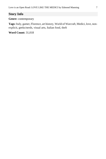## **Story Info**

**Genre:** contemporary

**Tags:** Italy, gamer, Florence, art history, World of Warcraft, Medici, love, nonexplicit, geeks/nerds, visual arts, Italian food, theft

**Word Count:** 31,018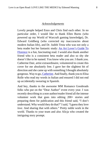#### *Acknowledgements*

<span id="page-7-0"></span>Lovely people helped Enzo and Chris find each other. In no particular order, I would like to thank Ellen Burns (who powered up my World of Warcraft gaming knowledge), Dr. Edward Goldberg (who corrected my inaccuracies about modern Italian life), and Dr. Judith Testa who was not only a beta reader but her fantastic study: [An Art Lover's Guide To](http://www.amazon.com/Art-Lovers-Guide-Florence/dp/0875806805/ref=sr_1_1?s=books&ie=UTF8&qid=1430695836&sr=1-1&keywords=An+Art+Lover%27s+guide+to+Florence)  [Florence](http://www.amazon.com/Art-Lovers-Guide-Florence/dp/0875806805/ref=sr_1_1?s=books&ie=UTF8&qid=1430695836&sr=1-1&keywords=An+Art+Lover%27s+guide+to+Florence) is a fun, fascinating read. I would also thank another friend who is a consistent beta reader and also so shy she doesn't like to be named. You know who you are. I thank you. Catherine Dair, artist extraordinaire, volunteered to create this cover for me absolutely free. I gave her the slightest bit of direction and she came up with something I thought absolutely gorgeous. Way to go[, Catherine.](http://catherine-dair.tumblr.com/) And finally, thank you to Elisa Rolle who read my words in Italian and ensured I did not end up accidentally swearing in Spanish.

And hey, thanks to the awesome MM Romance Goodreads folks who put on the "Dear Author" event every year. I was recently describing to a non-author/reader friend all the intense volunteer work that goes into editing 200+ stories and preparing them for publication and this friend said, "I don't understand. Why would they do that?" I said, "I guess they love *love*. And sharing that with others." Pretty noble work in the world. Thanks to your team and also Alicja who created the intriguing story prompt.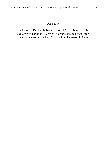#### *Dedication*

<span id="page-8-0"></span>Dedicated to Dr. Judith Testa, author of *Roma Amor*, and *An Art Lover's Guide to Florence*, a *professoressa* turned dear friend who nurtured my love for Italy. I think the world of you.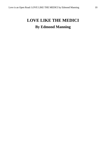# <span id="page-9-0"></span>**LOVE LIKE THE MEDICI By Edmond Manning**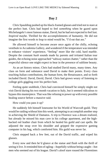#### **Day 2**

<span id="page-10-0"></span>Chris Spaulding pushed up his black-framed glasses and tried not to stare at the perfect butt. Chris had hoped to feel *something* when he gazed upon Michelangelo's most famous statue, David, but he had not expected to feel lust. *Inspired* maybe. Thrilled for the accomplishments of humanity. He did not imagine the first words to leap to mind would be, "I'd eat that ass."

He allowed himself to become aware once again of the chilly, echoing vestibule in Accademia Gallery, and wondered if the temperature was intended to enhance visitors' experience, "feeling" more like the cold, hard marble. Despite the constant *hush* sounds made by parents and irritated Italian tour guides, the echoing noise approached "subway station chatter," rather than the respectful silence one might expect to hear in the presence of sublime beauty.

As an art history minor, Chris had studied David many, many times. Any class on form and substance used David to make their points. Every class touching Italian contributions, the human form, the Renaissance, and so forth included David. David, David, David. Chris had grown weary of listening to college girls giggling over his perfect butt.

Feeling quite snobbish, Chris had convinced himself he simply might not visit David during his two month vacation to Italy, but it seemed ridiculous to bypass this masterpiece. That was like refusing to power up with every possible healing source before a massive raid.

How could you pass it up?

He suddenly felt himself lonesome for his World of Warcraft guild. They would be raiding without him this week, attempting to accomplish another step in achieving the Shield of Damatos. A trip to Florence was a dream realized, but already he missed his man cave in his college apartment, and the highbacked red leather chair from which he healed his guild and cast spells. He adjusted the strap over his shoulder and gripped the expensive gaming computer in his bag, which comforted him. His guild was never far.

Chris stepped back a few feet, out of the David traffic, and wiped his glasses.

Every now and then he'd glance at the statue and flush with the thrill of seeing it live. It reminded him of ogling—hopefully without being caught—hot men who seemed out of his league. David's aloof stare roused the Florentines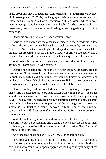in the 1500s and they pointed him at Rome defiantly, turning him into a symbol of city-state power. To Chris, the haughty disdain felt more immediate, as if David had just stepped out of an exclusive club's shower—where serious muscle men go—and he knew he was a god. Chris blushed, confused by the resentment, lust, and strange sense of feeling unworthy gazing up at David's perfection.

Under his breath, Chris said, "Good workout, bro."

Chris tried to appreciate the other masterpieces in the Accademia, a few unfinished sculptures by Michelangelo, as well as works by Botticelli and Andrea Del Sarto, but after reveling in David's perfect, masculine beauty, Chris did not feel prepared to absorb any more history or art. He decided to take a break and sit under the Italian sun, reveling in the experience of being *here*.

With so much vacation stretching ahead, he afforded himself the luxury of saying, "I'll come back. Maybe next week."

Outside, the cobalt skies above the city surprised him yet again. He had been warned Florence would most likely deliver rainy and gray winter weather through late March. He did not mind. Even rainy and gray would prove to be milder than an Iowa March, but the generous sunlight and welcome warmth brought unexpected pleasure to the backdrop of this fabled city.

Chris Spaulding had not traveled much, preferring Google maps to real maps, virtual museum tours to crowded spaces with whining art pretenders. He would sometimes ask himself, with the world so accessible by computer, why travel? The day prior, he answered his own question, listening to casual banter in an unfamiliar language, sidestepping noisy Vespas, dangerously close to the sidewalks. He touched a stone engraved with the age of the building, constructed in 1688. *Because of this*, he told himself. *You travel because you can touch this*.

With the laptop bag secure around his neck and chest, and gripped in his right arm, he left the Accademia and walked the few short blocks to his next destination, a Filippo Brunelleschi masterpiece, the *Ospedale Degli Innocenti*. Hospital of the Innocents.

An orphanage boasting early Italian Renaissance architecture.

How strange it must have been for the famous Brunelleschi to construct a building so openly luxurious, spacious and grand for abandoned children, a population who could not properly appreciate the hypnotic symmetry of the classically inspired facade.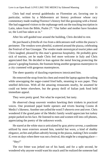Chris had read several guidebooks on Florentine art, favoring one in particular, written by a Midwestern art history professor whose racy commentary made reading Florence's history feel like gossiping with a friend. She had suggested visitors to the orphanage seek out the touching inscription in Latin, taken from the Bible, Psalm 27: "Our father and mother have forsaken us; the Lord has taken us in."

After his self-guided tour around the building, Chris decided to rest.

He purchased a *frittella di riso* from a delicatessen stall within the piazza's perimeter. The vendors were plentiful, scattered around the piazza, celebrating the Festival of San Giuseppe. The vendor made stereotypical tourist jokes and Chris laughed, pleased by this man's generous hospitality. He probably grew sick of tourists, yet he made Chris feel more welcome in Italy and Chris appreciated that. He decided to lean against the metal fencing protecting the piazza's gurgling fountain, the fountain being another gorgeous masterpiece in a city crammed with gorgeous masterpieces.

The sheer quantity of dazzling experiences intoxicated him.

He removed the strap from his chest and rested the laptop against the railing while unwrapping the sugar-coated fried balls, steaming in wax paper. They smelled delicious. With all the amazing restaurants nearby, he assumed he could eat better elsewhere, but the greasy thrill of Italian junk food held immediate appeal.

They were pretty good. Not what he expected, but tasty.

He observed cheap souvenir vendors hawking their trinkets in practiced voices. One promised papal bottle openers and trivets bearing Cosmo di Medici's likeness. Another one yelled the word *T-sheeerts* over and over. Chris wondered if the grand pater of the Medici family would appreciate hot turkey potpie parked on his face. He listened to men and women trill into cell phones, appreciating the poetry of the unknown words.

He stared at the white stucco articulated by gray *pietra serena*, a sandstone utilized by most exteriors around him, tasteful but worn, a kind of shabby elegance, arches and pillars adroitly boxing in the piazza, making Chris wonder if, even on days when there was not a festival, this might be a stopping place—

"Hey!"

The rice fritter was jerked out of his hand, and for a split second, he wondered why anyone would want his snack until he realized the someone had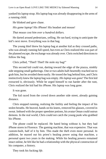yanked his laptop strap. His laptop bag was already disappearing in the arms of a running child.

He blinked and gave chase.

*His game laptop!* His iPhone! His headset and mouse!

*That mouse cost him over a hundred dollars.*

He darted around pedestrians, yelling. He ran hard, trying to anticipate the kid's next move. Everything was in that bag.

The young thief threw his laptop bag at another kid as they crossed paths, who was already running full speed, but even as Chris realized this was part of the planned escape, the exchange was already over. Chris switched directions to follow the bag.

Chris yelled, "Thief! Thief! He stole my bag!"

This second kid could run, darting toward the edge of the piazza, nimbly side stepping small gatherings. One or two adults half-heartedly reached out to grab him, but he avoided them easily. He tossed the bag behind him, and Chris instinctively knew the laptop bag was empty. *His laptop was gone!* The first kid extracted it, obviously. While he urged himself to run harder after the runt, Chris realized the kid had his iPhone. His laptop was long gone.

It was gone.

The kid raced from the crowd down another side street, already gaining distance.

Chris stopped running, realizing the futility and feeling the impact of his stolen breaths. He heaved, hands on his knees, removed his glasses, covered in sweat. Imbued with the proper speedster potions, his avatar Oman could outrun demons. In the real world, Chris could not catch the young punk who grabbed his iPhone.

The phone could be replaced. He hated being without it, but they had iPhone stores in Florence. The gaming machine, that was expensive. That was custom-built, half of it by him. This made the theft even more personal. In addition, he maxed out his priest's healing power using that machine, a personal quest two years in the making. While his healing powers remained intact online, he felt like he had a relationship with the physical construction of his computer, a history.

They took his fucking *life*.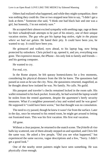Others had realized what happened, and while they might sympathize, there was nothing they could do. One or two stopped near him to say, "I didn't get a look at them." Someone else said, "I think one had black hair and one was a girl, but honestly, I'm not entirely sure."

He accepted their almost excited sympathy with seething rage, rage at them for their *schadenfreude* attempts to be part of his misery, one of their unique vacation stories. *The guy who got his laptop bag stolen, right in the piazza where we had our gelato*. He hated their pity. It could have been you, he wanted to say. It could have been you.

He grimaced and walked, eyes ahead, to his laptop bag, now being protected by onlookers. Chris picked it up, opened it, and yes, everything was gone. The expensive mouse, the iPhone—his only link to family and friends and his gaming computer.

He wanted to cry.

For real, cry.

In the Rome airport, he felt queasy homesickness for a few moments, considering his physical distance from the life he knew. The queasiness had passed as soon as he saw the city. Now, the queasiness returned, magnified, as he thought about how isolated he was. No family. No calls. No guild.

His passport and traveler's checks remained locked in the room safe. His wallet remained in his back pocket. Ironically, he had worried the laptop would be stolen from the rented apartment, despite the apartment's beefy security measures. What if a neighbor possessed a key and waited until he was gone? He supposed it "could have been worse," but that thought was no consolation.

The need to cry passed, though he knew it wasn't far from the surface. Later in the day, once he returned to his rented room, he might get around to letting out frustrated tears. This was his first vacation. His first real vacation.

All gone.

Without a clear purpose, he returned to the snatch scene. The *frittelle di riso* balls lay scattered, one of them already stepped on and squished, and Chris felt the same way. He asked a few people, "Did you see what happened," but experienced the same success, vague descriptions and a few, "Sorry. I didn't get a good look."

One of the nearby street painters might have seen something. He was physically close enough.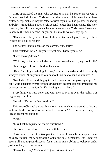Chris approached the man who seemed to attack his paper canvas with a ferocity that intimidated. Chris realized the painter might even know these children, especially if they targeted tourists regularly. The painter looked up and Chris's mouth hung open a split second longer than he intended. The short crew cut, the solid jawline, even the icy-blue eyes gave Chris pause. He wanted to admire the man a second longer, but his mouth was already open.

"Excuse me, did you see those kids just steal my laptop? Can you be a witness for a police report?"

The painter kept his gaze on the canvas. "No, sorry."

This irritated Chris. "But you're right here. Didn't you see?"

"I was looking down."

"Well, do you know these kids? Seen them around here ripping people off?"

He shrugged. "Lots of children here steal."

"He's finishing a painting for me," a woman nearby said in a slightly annoyed voice. "Can you talk to him about this in another five minutes?"

"No, lady," Chris said, happy to find a source for his growing anger. "It can't wait. I just lost over three thousand dollars in computer equipment and my only connection to my family. I'm having a crisis, here."

Everything was truly gone, and with the shock of it over, the reality was beginning to sink in.

She said, "I'm sorry. You're right."

This made Chris take a breath and realize as much as he wanted to throw a tantrum, he did not want to surrender to a tantrum. "No, I'm sorry. I'm upset. Please accept my apology."

"Sure."

"May I ask him just a few more questions?"

She nodded and stood to the side with her friend.

Chris turned to the attractive painter. He was almost a bear, a square man, possibly Sicilian, the dark brooding looks, and quiet demeanor. Dark under his eyes. Still, nothing could account for an Italian man's ability to look sexy under just about any circumstances.

"Please help me," Chris said. "I just lost everything."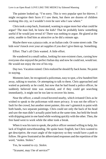The painter looked up. "I'm sorry. This is very popular spot for thieves. I might recognize their faces if I saw them, but there are dozens of children working this city, so I wouldn't even be sure who I saw where."

Chris took a step back, frustrated, wanting to argue more but what could he argue? The man lied, he knew the kids? That he probably knew something useful if he would just reveal it? There was nothing to argue. He glared at the artist, unable to find him as attractive as he did a minute ago.

Maybe there was a piazza code, or an Italian code. Or some street code. The kids won't knock over your art supplies if you don't give them up. Something.

Effort. That's all Chris wanted. A little effort.

He wandered in a small radius, looking for non-existent clues, cursing how everyone else enjoyed the perfect Italian day and now he could not, would not. He would not enjoy the rest of his trip.

Day two. Vacation ruined. Chris realized he should fly back home. No point in staying.

Moments later, he recognized a policeman, easy to spot, a few hundred feet away, talking to tourists. Or attempting to talk to them. Chris approached and waited as patiently as he could, but now that he had found a police officer, he suddenly believed time was essential, and if they could get searching immediately, it might not be too late to recover his items.

Near the officer, a small crowd hovered nearby, which irritated Chris as he wished to speak to the policeman with more privacy. It was not the officer's fault for the crowd, but another street painter, this one's gimmick to paint with both hands, two separate paintings. Chris could see only the back of his head and saw the man didn't actually paint both at the same time, but held the brush with dripping paint in one hand while working quickly with the other. Then, the free hand went to work while the other took a break.

When it was his turn to speak, the police officer seemed willing to help, his lack of English notwithstanding. He spoke basic English, but Chris wanted to get descriptive, the exact angle of the trajectory so they would have a path to follow. He grew frustrated at the abbreviated responses and the repetition of the word, "stolen. Stolen."

Yes, he wanted to cry. *Stolen*.

"*Scusami*, may I be of service?"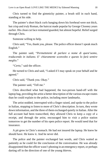Chris turned to find the gimmicky painter, a brush still in each hand, standing at his side.

The painter's short black curls hanging down his forehead were not thick, but crisp and *truly* Roman, the haircut made popular by George Clooney years earlier. His clean cut face remained guarded, but almost hopeful. Relief surged through Chris.

Someone willing to help.

Chris said, "Yes, thank you, please. The police officer doesn't speak much English."

The painter said, "*Permettetemi di parlare a nome di quest'uomo, traducendo in italiano. E' chiaramente sconvolto e questo lo farà sentire meglio*."

"*Certo*," said the officer.

He turned to Chris and said, "I asked if I may speak on your behalf and he agreed."

Chris said, "Thank you. Okay."

The painter said, "Tell me."

Chris described what had happened, the two-person hand-off with the laptop bag, providing the artist a better description of the various escape routes than he could explain to the police, including more landmarks.

The artist nodded, interrupted with a finger raised, and spoke to the police in Italian, stopping to listen to more of Chris's description. In turn, they wrote down information, and the three of them exchanged quietly in Italian. After the full account had been transcribed, they allowed Chris to keep a copy of a receipt, and through the artist, encouraged him to visit a police station tomorrow to get the number of his open police report. He would need that for insurance.

A pit grew in Chris's stomach. He had not insured the laptop. He knew he should have. He knew it. And he never did.

The police and the painter exchanged last words, and Chris waited as patiently as he could for the conclusion of the conversation. He was already disappointed that the officer wasn't phoning in an emergency report, or perhaps darting off in the direction of one of the young thieves.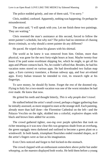The police nodded grimly, and one of them said, "I'm sorry."

Chris, nodded, confused. Apparently, nothing was happening. Or perhaps he misunderstood.

The artist said, "I will speak with you. Let me finish these two paintings. They are waiting."

Chris resented the man's assistance at this second, forced to follow the street painter's schedule, but why not? The police had no intention of chasing down criminals, so why should a street painter do any different?

He paced. He wiped clean his glasses with his shirttail.

The world as he knew it was removed from him. Online, more than physical, was gone for the next forty-eight hours at least. Maybe twenty-four hours if he paid some exorbitant shipping fee, which he might, to get all his apps and iPhone contacts back. No, he couldn't afford that. Besides, he had his vacation notes stored on various apps. He had downloaded two Italian map apps, a Euro currency translator, a Roman subway app, and four art-related apps. Every Italian treasure he intended to visit, its research right at his fingertips.

To save money, he should fly home. Forget the rest of the doomed trip. Flying to Italy for a two-month vacation was one of the worst mistakes he had ever made. He knew that now.

He gritted his teeth and thought bitterly, *This is why people don't travel*.

He stalked behind the artist's small crowd, perhaps a bigger gathering than he initially assessed, as more stopped to stare at the strange skill. Each painting, already more than half done—the Florentine Cathedral on the left—and the Palazzo Vecchio on the right, skidded into a colorful, explosive shapes with black and brown lines added for accents.

The crowd gathered tighter, *ooo-ing* over purple splotches that took on richer meaning as it was now clear this was gorgeous shade from an overhang, the green squiggly mess darkened and outlined to become a green plant on a windowsill. In both hands, triumphant flourishes ended rounded shapes, as if the artist's fingers were as fast as his imagination.

Even Chris noticed and forgot to feel kicked-in-the-stomach.

The crowd clapped with an enthusiasm somewhere above *polite* but under *whooping*, as the maestro displayed both works. He held them before a young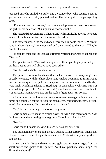teenaged girl who smiled wistfully, and a younger boy, who seemed eager to get his hands on the freshly painted surface. His father pulled the younger boy back.

"For a sister and her brother," the painter said, presenting them both toward the girl for her selection. "*La signorina* chooses first."

She selected the Florentine Cathedral and with a smile, he advised her not to touch it for a few minutes until the watercolors dried.

The father snatched the second one before the boy could reach it. "You can have it when it's dry," he announced and then turned to the artist. "They're beautiful. *Grazie*."

He paid for them and the teenage girl timidly stepped forward to squeak out, "*Grazie*."

The painter said, "You will always have these paintings, you and your brother. Just as you will always have each other."

She blushed and Chris understood why.

The painter was more handsome than he had realized. He was young, midor early-twenties, with his short black hair, ringlets beginning to form around his ears but not quite. He spoke seriously as if each word mattered, and his lips were thick, which appealed to Chris, though he did not know why. His skin was what white people called "olive colored," which meant not white. Not black. Not Hispanic. Somewhere else on the scale of gorgeous skin colors.

After moving only a foot or two away, strangers began gathering around the father and daughter, asking to examine both pieces, comparing the style of right to left. For a moment, Chris had the artist to himself.

"Sit," he said, pointing to a spot on the ground.

Chris immediately began to crouch down, obeying, and then stopped. "Can I talk to you without getting on the ground? Would that be okay?"

"No. Sit."

Chris found himself obeying, though he was not sure why.

The artist left his workstation, the two dueling paint boards with thick paper clipped to each. He left his paints, and came to Chris with only a large sketch pad. He sat.

A woman, mid-fifties and wearing an argyle sweater-vest emerged from the small crowd and spoke to the painter. "Will you paint me something? The Florentine church?"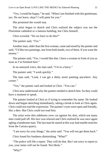"Yes, I would be happy," he said. "When I am finished with this gentleman, yes. Do not leave, okay? I will paint for you."

She promised she would stay.

The artist began to sketch and Chris realized the subject was not the Florentine cathedral or a famous building, but Chris himself.

Chris scowled. "Do we have to do this?"

The painter said, "Yes."

Another man, older than the first woman, came and stood by the painter and said, "I'd like two paintings, one from both hands, two of them. If you want the money."

The painter said, "Yes. I would like that. I have a woman in front of you as soon as I'm finished here."

In an annoyed voice, the man said, "I'm in a hurry."

The painter said, "I work quickly."

The man said, "Look, I can get a shitty street painting anywhere. Any corner."

"Yes," the painter said and looked at Chris. "You can."

Chris now understood why the painter needed to sketch him. So they could have a moment to speak.

The painter looked at Chris as if trying to remember his name. He looked down and began sketching immediately, taking a break to look at Chris again. Chris could not read the expression. The painter's eyes were open and friendly, like a deer. But Chris could not read him.

The artist wore thin sideburns crew cut against his skin, which not many men could pull off. His face was relaxed and Chris realized he was once again ogling a handsome man. The last man he stared at this way had marble testicles from the Carrara quarry.

"I am sorry for your things," the artist said. "You will not get them back."

Chris found his fondness diminishing. "What?"

"The police will file a report. They will do that. But I am sorry to report to you, your items will not be found. Not likely."

"Why?"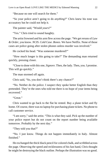"Because no one will search for them."

"So your police aren't going to do *anything*?" Chris knew his tone was accusatory but he could not help it.

The painter said, "Would *yours*?"

"Yes." Chris tried to sound haughty.

The artist frowned and his arm flew across the page. "We get reruns of *Law & Order*, you know. *NCIS*. *Cold Case*. *Bones*. We have Netflix. None of those cases are police going after stolen phones unless murder was involved."

He cocked his head. "Was someone murdered?"

"How much longer is this going to take?" The demanding man returned quickly, pressing closer.

"Close to done with this one, *Signore*. Then, the lady. Then, you. I promise. This will go quickly."

The man stormed off again.

Chris said, "So, you don't think there's any chance?"

"No. Neither do the police. I suspect they spoke better English than they pretended. They're the ones who told me there is no hope of your items being recovered."

"Great."

Chris wanted to go back to the flat he rented. Buy a plane ticket and fly home. Of course, there was no laptop for purchasing plane tickets. No phone to call customer service.

"I am sorry," said the artist. "This is what they said. Pick up the number of your police report but do not count on the report number being available tomorrow. Probably by the next day."

"They told you that?"

"No. I just know. Things do not happen immediately in Italy. Almost finished."

He exchanged the thick black pencil for colored chalk, and scribbled across the page. Observing the speed and recklessness of his fast hand, Chris thought he might be destroying the black outline. Perhaps the illustration was no good.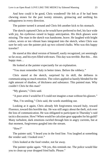And how could it be good, Chris wondered? He felt as if he had been chewing stones for the past twenty minutes, grimacing and seething his unhappiness in every direction.

The painter turned it around and Chris felt another kick to his stomach.

The sketch captured Chris as he would have preferred to feel, his face wide with joy, his eyebrows raised in happy anticipation. His thick glasses were missing. The man in the sketch was handsome, brave. He laughed with bright colors, seven or ten vibrant hues integrated into the sketch, when Chris was sure he only saw the painter pick up two colored chalks. Who was this happy traveler?

He stared at this ideal version of himself, easily recognized, yet seemingly so far away, and his eyes filled with tears. This day was terrible. But this… this happy man…

He looked at the painter expectantly for an explanation.

"You must remember Italy in better times. Before the robbery."

Chris stared at the sketch, surprised by its skill, the deftness in communicating so much emotion. The colors applied so hastily blended for the right amount of shadow, of thickness and substance. This painted man. Why couldn't Chris be this man?

"My glasses," Chris said.

"A poor artist I would be if I could not imagine a man without his glasses."

"But, I'm smiling," Chris said, the words stumbling out.

Looking at it again, Chris already felt forgiveness toward Italy, toward Florence, toward this horrible day. He was still angry about the theft, sick over the loss of communication. He was obligated to participate in Thursday's raid tactics discussion. How? When would he calculate gear upgrades for his guild? Many turbulent, dark emotions swirled through him in angry currents, but at that moment, forgiveness gurgled into the stream.

"How"

The painter said, "I heard you in the food line. You laughed at something the vendor said. I looked over."

Chris looked at the food vendor, not far away.

The painter spoke again. "Oh yes, this reminds me. The police would like you to clean up your dropped fried balls. Please."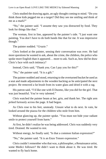Chris studied the drawing again, an ugly thought coming to mind. "Do you think those kids pegged me as a target? Did they see me smiling and think of me as a mark?"

"No," the painter said. "I assume they saw you distracted by food. They look for things like that."

The woman, first in line, appeared by the painter's side. "I just want one painting. You don't have to do both hands like that for me. It was impressive though."

The painter nodded. "*Grazie*."

Chris looked at the painter, sensing their conversation was over. He had more questions he wanted to ask, about the crime, the children, the police who spoke more English than it appeared… more to ask. Such as, how did he draw Chris's face with such intimacy?

Instead, Chris said, "Thank you. Can I pay you for this?"

"No," the painter said. "It is a gift."

The painter nodded and stood, returning to the overturned bucket he used as a seat and made adjustments to the wooden backing as he anticipated the next project. He removed a fat brush from its water glass and dried it with a rag.

His patron said, "I'd like one with Il Duomo, like you did for the girl. That was just beautiful. You're very talented."

Chris watched the painter beam at her, grin, and thank her. The right arm jerked furiously across the page. It had begun.

As Chris rose to his feet, unsteady. Unsure what to do next. In vain, he looked around the piazza for the children who stole from him.

Without glancing up, the painter spoke. "You must not hide your radiant smile to protect yourself from harm."

At first, he didn't realize he was being addressed. Chris was suddenly very tired. Drained. He wanted to rest.

Without energy, he finally said, "Is that a common Italian expression?"

"No," the painter said. "It is an Enzo Tenore expression."

Chris couldn't remember who that was, a philosopher, a Renaissance artist, some Medici follower? He didn't want to think about it. He was tired. He wanted to fly back home.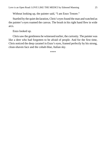Without looking up, the painter said, "I am Enzo Tenore."

Startled by the quiet declaration, Chris's eyes found the man and watched as the painter's eyes roamed the canvas. The brush in his right hand flew in wide arcs.

Enzo looked up.

Chris saw the gentleness he witnessed earlier, the curiosity. The painter was like a deer who had forgotten to be afraid of people. And for the first time, Chris noticed the deep caramel in Enzo's eyes, framed perfectly by his strong, clean-shaven face and the cobalt-blue, Italian sky.

\*\*\*\*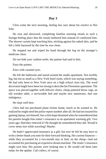#### **Day 3**

<span id="page-25-0"></span>Chris woke the next morning, feeling less sure about his resolve to flee Italy.

He rose and showered, completing familiar morning rituals in such a foreign-feeling place that the rituals bothered him instead of comforted him. The shower curtain kept touching him, sticking against his naked skin, and he felt a little harassed by the time he was clean.

He stepped out and wiped his hand through the fog on the stranger's medicine chest.

*Do not hide your radiant smile*, the painter had said to him.

Enzo the painter.

Enzo with caramel eyes.

He left the bathroom and stared around the studio apartment. Not terribly big, but not as small as a New York hotel room, which was saying something. He had only been to New York once on a high school class trip. The word *decorated* might have been too strong to describe his Florentine apartment. The space was pieced together with leftover chairs, cheap pattered throw rugs, an old wooden table, a serviceable bed and maybe new mattresses, that one indulgence.

He slept well here.

Chris had not purchased plane tickets home, much as he wanted to. He realized he might need the police report number after all. He had not insured his gaming laptop, not himself, but a slim hope bloomed when he remembered that his parents bought him renter's insurance as an apartment warming gift. Two years ago. Had they renewed it? He thought he remembered they did. Would it cover items lost while traveling? Maybe.

He hadn't appreciated insurance as a gift, but now he felt he may have to write a better thank you note for their forward thinking. His current finances while they accounted for a two-month stay in Italy on the cheap—had not accounted for purchasing an expensive dream machine. The renter's insurance might save him. His parents were looking into it. He would call them later today for the update. Call collect, of course.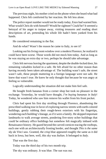The previous night, his mother cried on the phone when she heard what had happened. Chris felt comforted by her reaction. He felt less alone.

The police report number would not be ready today, Enzo had warned him. What would Chris do with himself? Would he sightsee? *Could* he? It seemed a betrayal of his anger to traipse away, visiting treasures and reading short descriptions of art, pretending his whole life hadn't been yanked from his hands.

He considered remaining in the flat.

And do what? Wasn't the reason he came to Italy, to see it?

Looking out his living room window over a modern Florence, he realized it could have been worse. Those words did not mock him today. And as long as he was staying an extra day or two, perhaps he should take advantage.

Chris felt nervous leaving the apartment, despite the double-locked door, his remaining valuables locked in a safe. He felt afraid for no other reason than having recently been taken advantage of. The building wasn't safe, the street wasn't safe, these people muttering in a foreign language were not safe. He knew that wasn't true. He knew he only thought that because he was angry at feeling so vulnerable.

Logically understanding the situation did not make him feel safe.

He bought fresh bananas from a corner shop but took no pleasure in the exchange. Yesterday, he would have thought, *I'm buying bananas in Italy*! Today, he wondered who saw him remove his wallet from his front pocket.

Chris had spent his first day strolling through Florence, abandoning the prescribed walking tour in favor of exploring narrow streets with earth-colored buildings, gently rubbing their rough-hewn exteriors with his fingertips, wondering each building's lineage, as if it were a family. He skipped important landmarks to walk average streets, pondering five-story ochre buildings that *could* be ordinary office buildings but somehow felt magically imbued with Renaissance history. He gazed beyond the carved cornices tracing the rooftops, each one with an architecturally frosting border, and thought *This is the same sky da Vinci saw*. Granted, the crisp blue appeared roughly the same as it did back in Iowa, but here, well, this sky was *Italian*. It belonged to *Italy*.

That was the first day.

Today was the third day of his two month trip.

The sky was ordinary. It was blue. The sun was out.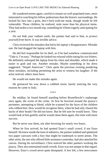He wandered streets again, careful to remain on well-populated ones, more interested in watching his fellow pedestrians than the historic surroundings. He locked his face into a grim, don't-fuck-with-me mask, though inside he felt vulnerable. Those children, he realized, stole more than his physical items. They had stolen a two month trip, something he'd been eagerly anticipating for a year.

*Do not hide your radiant smile*, the painter had said to him, *to protect yourself from harm*. It was terrible advice.

Chris reviewed the mistakes that led to his laptop's disappearance. Mistake one. He had dragged the laptop with him.

He did feel responsible for its theft, as if he had somehow communicated "Take it. I'm easy." Perhaps he looked too relaxed while eating his rice fritters. He definitely unlooped the laptop from his chest and shoulder, which made it easier to grab and run. Another mistake. Maybe something in his dress suggested, "Stupid American." Chris spent the previous evening pondering these mistakes, including permitting the artist to witness his laughter. If the artist noticed, others must have.

He would not make this mistake again.

He grimaced his way down a cobbled street, barely noticing the very reasons he came to Italy.

\*\*\*\*

By midday, he found himself standing before Brunelleschi's orphanage once again, the scene of the crime. At first he hovered around the piazza's perimeter, attempting to blend, while he scanned for the faces of the children who robbed him. How would he recognize them, when he had only chased the backs of their heads? He did not know. But he felt sure he would know. They would look at him guiltily and he would chase them again, this time with more success.

But he never saw them, not after hovering for nearly two hours.

When he first arrived, he had spotted Enzo's small crowd, if not Enzo himself. He knew inside the knot of admirers, the painter stabbed and splattered two paper canvases with a fury that might be trademark to street artists. The other artist, the one who offered little assistance yesterday, had also attacked his canvas. During his surveillance, Chris noticed the other painters working the piazza. They also entertained small crowds. Enzo was not unique in that regard. However, Enzo's crowd never quite dissipated. A few left, a few newcomers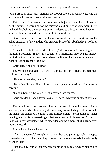joined. At other street artist stations, the crowds broke up regularly, leaving the artist alone for ten or fifteen minutes stretches.

This observation seemed innocuous enough, just a by-product of hovering on the perimeter searching for the thieving children, but at some point Chris realized that behind the observation was a desire to talk to Enzo, to have time alone with him. No audience. That didn't seem likely.

Chris revisited the deli vendor, the one who sold him the *frittelle di riso*. He asked questions of the vendor, who answered cheerfully, but had seen nothing. Of course.

"They love this location, the children," the vendor said, nodding at the foundling hospital. "If they are caught by Americans, they beg for mercy, reminding tourists they now stood where the first orphans were shown mercy, right on Brunelleschi's *loggia*."

Chris said, "You're kidding."

The vendor shrugged. "It works. Tourists fall for it. Items are returned, children run away."

"How often are they caught?"

"Not often. Rarely. The children in this city are very skilled. You must be careful<sup>"</sup>

"Good advice," Chris said. "But a day too late for me."

Chris decided he had a favor to ask. He ended up buying another *frittelle di riso*.

The crowd fluctuated between nine and fourteen. Although a crowd of nine was not particularly intimidating, it was when you wanted a private word with the man at the center of attention. Chris glimpsed Enzo—brushes in both hands dancing across his papers—in gaps between people. It dawned on Chris that this was Enzo's workplace, which made demanding a moment of his time even more awkward.

But he knew he needed to ask.

After the successful completion of another two paintings, Chris stepped forward and offered the small bag of warm, deep-fried risotto balls to his only friend in Italy.

Enzo looked at him with pleasant recognition and smiled, which made Chris smile.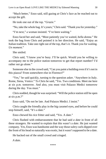"Much better," Enzo said, still gazing at Chris's face as he reached out to accept the gift.

He took one out of the top. "*Grazie*."

"No, take the whole bag. It's yours," Chris said. "Thank you for yesterday."

"I'm next," a woman insisted. "I've been waiting."

Enzo faced her and said, "Most patiently you've waited, *bella donna*." He took the bag from Chris and pointed it in her direction. He said, "Enjoy an Italian tradition. Take one right out of the top, that's it. Thank you for waiting. *Un moment*."

She smiled.

Chris said, "I know you're busy. I'll be quick. Would you be willing to accompany me to the police station tomorrow to get that report number? I'd rather not go alone."

Someone else in the crowd said, "Can you paint a building even if it's not in this piazza? From somewhere else in Florence?"

"Yes," he said quickly, turning to the question asker. "Anywhere in Italy. Rome, Siena, Venice." To Chris he said, "Yes. Two conditions. Meet me here at six p.m. tomorrow. And also, you must visit Palazzo Medici tomorrow during the day. You must."

Chris nodded, though he was surprised. "Will the police station still be open at six p.m.?"

Enzo said, "Do not be late. And Palazzo Medici. I insist."

Chris caught the friendly play in the big caramel eyes, and before he could stop himself, said, "It's a date."

Enzo chewed his rice fritter and said, "Yes. A date."

Chris flushed with embarrassment that he had said *a date* in front of all these strangers. He wanted to explain that this wasn't a *date*. He just wanted company. Yes, Enzo was handsome and the way those sultry curls dipped over the front of his head so naturally was exotic, but it wasn't supposed to be a date.

He backed out of the small crowd and cringed.

*A date*.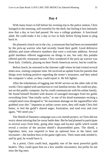#### **Day 4**

<span id="page-30-0"></span>With many hours to kill before his evening trip to the police station, Chris lounged in the morning, still resentful for the theft, but feeling it less intensely now that a day or two had passed. He was a college graduate. A functional adult. He could make it for a day or two in Italy before flying home to plug back in.

He planned a lunch out in the city, a restaurant that had been recommended by the pick-up warrior who had recently found their guild. Good defensive abilities and some offensive numbers that were a welcome addition. Several guild members offered suggestions on things to see, but only this paladin offered specific restaurant names. Chris wondered if the pick-up warrior was from Italy. Unlikely, playing on their North American server, but he could be.

Before lunch, he returned to the Internet *caffé* where he had visited several times now, renting computer time. He received an update from his parents that things were looking positive regarding the renter's insurance, and they asked the computer's value, so they could report it. He felt lighter.

After the tribulations of logging into WoW servers on the other side of the world, Chris sighed with satisfaction to visit familiar terrain. He could not play, not on this public computer, but he could communicate with his online family. He found himself flooded with dozens of outraged messages from his guild, everything from "that totally sucks," to one of his druid teammates reciting a complicated curse designed to "do maximum damage on the ragamuffins who grabbed your shit." Impotent as online curses were, they still made Chris feel better, to feel the guild's shared anger, frustration, and read over and over again, "We need you."

The Shield of Damatos campaign was a six-month project, so Chris did not worry about missing that far-away battle date. But he had planned to participate in several ways from Italy, going after maps and locator spells which would reveal a section of the ancient shield's disassembled parts. The shield, a legendary item, was required to beat an optional boss in the latest raid encounter—the hardest boss in the game right now. Their main tank needed it, and by god, he would have it.

As a priest, Chris could heal, arguably one of the most powerful guild healers. They could spare him on a few smaller encounters, but prefer he not miss the big ones.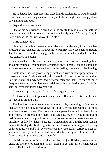He updated a few messages with close friends, explaining he would soon fly home. Instead of wasting vacation money in Italy, he might have to apply it to a new gaming computer.

Depending on insurance.

One of his best friends, a druid with the ability to rend matter in half, no matter the material, responded almost immediately with "Negatory. Stay in Italy. Choose the real world over the guild."

Chris considered it.

He might be able to make a better decision, he decided, if he were less stressed. More relaxed. And what would help him relax? Video games. Reddit. Tumblr porn. He could not engage in the one activity that would help him feel less panicked and alone.

As he walked to his lunch destination, he realized that the frustrating thing about his feelings—feeling taken-advantage of, vulnerable, feeling stupid and wronged—was how those tapped into similar feelings, unrelated to the thieving.

Back home, he had grown deeply infatuated with another programmer, a classmate, who, Chris eventually discovered, did not return an attraction. Feeling *stupid and wronged* had surfaced then and kept resurfacing now. Despite the fact that this classmate had done nothing to lead him on, Chris felt somehow vaguely taken advantage of.

Love was supposed to work out. At least get a chance.

All those shitty feelings about being ripped off applied to his complex and hurt feelings around Dan.

The lunch restaurant name was not memorable, something Italian, words that Chris felt he should recognize, but didn't. White tablecloths. Polished wooden window frames. The three waiters appeared adorned in classic black and whites. He ordered a few items, not sure how much he would eat, but he hadn't eaten much the previous two days. When he ate the pasta they served him, his eyes filled with tears because it tasted unlike anything he had put in his mouth, the best garlic, best spaghetti, and best flavors combining in rich luxury on his tongue. His *pollo al limone* was equally spectacular, different category sensations, and by the time he had finished, Chris felt grateful he had risked doing something ordinary and wonderful.

He left, already reminiscing the meal he had just finished, remembering bites, the first bite of each, the flavors, trying to get himself to remember the flavors. He knew he would forget.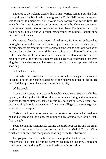Entrance to the Palazzo Medici had a line, tourists running out the front door and down the block, which was great for Chris. Half the reason to visit was to study its unique exterior, revolutionary construction for its time. He knew this from art history classes, but most recently the Florence companion book he read weeks ago and revisited on the plane. The bottom third, the Medici bank, bulked out with rough-hewn stone; the builders thought they imitated true Romans.

The second floor boasted more refined stone, its interior dedicated to mixing business and pleasure. Offices and guest quarters. Even a dance hall, if he remembered his reading correctly. Although the second floor was not part of the tour, his art history book said the guest suites of that floor offered private bathrooms. And while bathrooms back then lacked modern amenities such as running water, at the time this modern-day palace was constructed, not even kings had private bathrooms. The extravagance of each guest's private bath was shocking.

But that was inside.

Cosimo Medici insisted the exterior show no such extravagance. He wanted to seem to be *of the people*, regardless of the bathroom situation inside. He regarded that quality to be essential to ruling the city.

Of the people.

Along the exterior, an increasingly sophisticated stone structure climbed upward, so that by the third floor, the more intimate living and entertaining quarters, the stone almost presented a seamless, polished surface. Yet that level remained simplicity in its appearance. Unadorned. Elegant in ways the ground level dare never aspire.

Chris studied the exterior, recalling the construction tales he had read, one he had just reread on the plane, the rumor of how Cosimo fired Brunelleschi from the job.

Soon enough, he went inside, touring the third floor loggia and the small section of the second floor open to the public, the Medici Chapel. Chris chuckled to himself and thought about asking to use their bathroom.

The gorgeous home of the Medici was an important landmark on his list of "must visits," so Enzo did him no harm by insisting he tour this. Though he could not understand why Enzo would insist on this condition.

Enzo.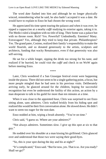The word *date* flashed into him and although he no longer physically winced, remembering what he said, he also hadn't accepted it was a date. He would have to explain to Enzo he had chosen the wrong word.

He appreciated his time spent touring the palazzo and when it was over, he sipped a cappuccino at a nearby *caffé* studying its exterior again, taking it in. The Medici ruled a kingdom with no title of king. Their home was a palace but with no throne room. Rich? Yes. Powerful? Undoubtedly. Enemies? Many. Extravagant? Yes, although they tried to keep that private. Philanthropists? Yes. The grand pater, Cosimo, realized their family's responsibility to make the world flourish, and so donated generously to the artists, sculptors and architects, funding that wacky Renaissance, even if that generosity was also self-serving.

He sat for a while longer, sipping the drink too strong for his taste, and realized if he hurried, he could visit the *caffé* and check in on WoW again before meeting Enzo.

\*\*\*\*

Later, Chris wondered if a San Giuseppe festival event were happening inside the piazza. There did not seem to be a single gathering point, a focus, but more people mingled than he had seen in his previous visits. Deliberately arriving early, he glanced around for the children, hoping for successful recognition but even he understood the futility of this action, an action by a man desperate to talk to his guild for more than ten minutes at a time.

When it was close to the appointed hour, Chris was surprised to see Enzo sitting alone, sans admirers. Chris walked briskly from his hiding spot and realized this would be their first conversation alone. He slowed down. He didn't want to seem too eager for the non-date.

Enzo nodded at him, wiping a brush absently. "You're on time."

Chris said, "I guess so. Where are your admirers?"

"Not always admirers. Sometimes slow. I give up this spot at six to that guy."

He nodded over his shoulder at a man kissing his girlfriend. Chris glanced over and understood that those two were saying their good-byes.

"So, this is your spot during the day and his at night?"

"It's complicated," Enzo said. "But for now, yes. That is so. Are you ready? Shall we go?"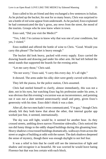Enzo called to his art friend and they exchanged a few sentences in Italian. As he picked up the bucket, his seat for so many hours, Chris was surprised to see a bottle of red wine appear from underneath. As he packed, Enzo explained he had communicated the day's gross, any news from the street, the mood of the tourists. Groups who he now knew where in town.

Enzo said, "Did you visit the Medici?"

"Yes, I did. I'm curious to know why that was one of your conditions, but yes, I visited."

Enzo nodded and offered the bottle of wine to Chris. "Good. Would you carry this please? The bucket is heavy enough."

The bucket did look heavy, packed with every supply. Enzo carried the drawing boards and drawing pad under his other arm. He had left behind the metal stands that supported the boards for the evening artist.

"Let me carry those," Chris said.

"Do not worry," Enzo said, "I carry this every day. It's all right."

It showed. The arms under his silky shirt were gently curved with muscle.

They left the piazza, for the police station, Chris assumed.

Chris had steeled himself to clarify, almost immediately, this was not a *date*, not in his eyes, but watching Enzo lug his profession under his arms, it was obvious that this evening's excursion was an inconvenience, and pointing out *it was not a date* seemed unnecessarily small and petty, given Enzo's generosity with his time. Enzo didn't think it was a date.

After all, the two men hadn't even communicated, "I'm gay," though Chris already felt they both knew that about the other, that internal gaydar app worked just fine, it seemed, internationally.

The sky was still light, would be, it seemed for another hour. As they crossed streets, ambling down narrow Florentine sidewalks, Chris noticed the sun did funny things to the oddly shaped buildings during this gloaming hour. Heavy shadows crisscrossed buildings dramatically, walkways from across the street or angles of building at odds with the sunset. The dark shadows deepened the sense of mystery, though there was enough daylight to not feel fear.

It was a relief to him that he could still see the intersection of light and shadow and recognize it as beautiful. He was worried he would leave hating Florence but that was less certain with each block.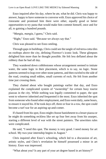Enzo inquired after his day, where he ate, what he did. Chris was happy to answer, happy to have someone to converse with. Enzo approved his choice of ristorante and promised him there were other, equally good or better opportunities to try pasta that would make him commit himself, once and for all, to gaining a hundred pounds.

"*Mangia, mangia*, I guess," Chris said.

"Right," Enzo said. "Because we always say that."

Chris was pleased to see Enzo smiling.

Through gaps in buildings, Chris could see the tangle of red terra-cotta tiles on rooftops above the city, defining Florence's iconic look. These glimpses delighted him more than he thought possible. He felt less deflated about the robbery than he had all day.

They wandered down cobblestones whose arrangement seemed to imitate water, the same logic in their placement, which is to say, no logic. Stone patterns seemed to leap over other stone patterns, and then swirled to the side of the road, creating small eddies, small currents of rock. He felt from another time just crossing them.

They chatted about who bought paintings earlier that day, and Enzo explained the complicated system of "ownership" for certain busy tourist piazzas in the city. While nothing was legally committed to paper, the spot went to whoever inherited *and* frequented it the most. Enzo inherited the spot from someone who found other employment, and Enzo went daily, same hours, to ensure it stayed his. If he took days off, three or four in a row, the spot could become a turf war for an aspiring up-and-comer.

If chased from his spot, Enzo might choose banishment to a lesser piazza or he might do something reckless like set up four feet away from his usurper, starting a different level of war with the street painters. The unwritten rules were complicated.

He said, "I need this spot. The money is very good. I need money for art school. My two-year internship begins in August."

Chris inquired after Enzo's schooling, which led to a discussion of art, artistic styles, and Chris's revelation he himself possessed a minor in art history. Enzo was impressed.

"What about you? Is any part of your art degree based in art history?"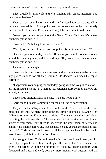Enzo chuckled. "Every Florentine is automatically an art historian. You must be to live here."

They passed several city landmarks and crossed famous streets. Chris remained puzzled Enzo did not point them out. When they reached the insanely famous Santa Croce, and Enzo said nothing, Chris could not hold back.

"Aren't you going to point out the Santa Croce? Tell me it's where Michelangelo is buried?"

Enzo said, "Michelangelo is buried there."

"Yes, I just said so. How can you not point this out to me, a tourist?"

"I am not your tour guide," he said. "If I were, you would know because we would be standing here and I would say, 'Hey American, this is where Michelangelo is buried.'"

This made Chris laugh.

Even so, Chris felt growing apprehension they did not seem to be passing any police stations for all their walking. He decided to broach the topic, carefully.

"I appreciate your helping me out today, going with me to a police station. I am intimidated. I should have learned more Italian before coming. I know I am an ugly American."

Enzo stared straight ahead and said, "You are not too ugly."

Chris found himself stammering for the next line of conversation.

They crossed Via Tripoli and Chris could see the Arno, the beautiful river bisecting Florence. As picturesque as the postcards he passed all day, the Arno delivered on the true Florentine experience. The water was thick and clear, reflecting the buildings above. The stone walls on either side were as old and sturdy as you might want them to be, giving the impression of safety and stability, no small feat for a city that spent its teenage years in constant political turmoil. If Chris remembered correctly, all the bridges had been bombed out in World War II, all but the Ponte Vecchio.

As they got closer, Chris could see the famous river flowed green, a color tinted by the plant life within. Buildings bellied up to the Arno's banks, not overly concerned with their proximity to flooding. Their exteriors were decorated and decorated well, both the more modern constructions and the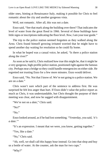older ones, hinting at Renaissance Italy, making it possible for Chris to feel romantic about the city and another gorgeous vista.

Well, not romantic. After all, this was not a date.

Enzo said, "See that mark along the building over there? That indicates the level of water from the great flood in 1966. Several of these buildings have little signs or inscriptions indicating the floor level. *Now*, I am your tour guide."

The trip to the police station seemed forgotten as they walked along the Arno. Chris found himself growing irritated worried that he might have to spend another day waiting for resolution so he could fly home.

In what he hoped was a casual voice, he asked, "Is there a police station along the river?"

As soon as he said it, Chris realized how true this might be, that it might be a very gorgeous, high-profile police station, positioned right against the famous city. Perhaps near a bridge so they could handle emergencies on either side. He regretted not trusting Enzo for a few more minutes. Enzo would deliver.

Enzo said, "No. Not that I know of. We're not going to a police station. We are on a date."

Chris wasn't sure which part of the sentence to address first. He was surprised he felt less anger than hurt. If Enzo didn't value the police report as much as Chris, it was understandable, but Chris thought the purpose of their meeting was clear, and now he sagged with disappointment.

"We're not on a *date*," Chris said.

"No?"

"No."

Enzo looked around, as if he had lost something. "Yesterday, you said, '*it's a date*.'"

"It's an expression. I meant that we were, you know, getting together."

"Yes, like a date."

"No." Chris said.

"Ah, well, we shall call this happy hour instead. Go into that shop and buy us a bottle of water. At the counter, ask the man for two cups."

"Why?"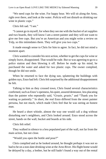"We need cups for the wine. For happy hour. We will sit along the Arno, right over there, and look at the water. *Policia* will not disturb us drinking our wine in plastic cups."

Chris felt sad. "I see."

"I cannot go in myself, for when they see me with the bucket of art supplies and two boards, they will know I am a street painter and they will not want to give me free cups. But you're an American and you might write a review on Yelp, so this intimidates them. They will give you two cups."

It made enough sense to Chris for him to agree. In fact, he did not mind a moment apart.

Chris wanted to consider his next action, whether to get the cups for wine or simply leave, disappointed. That would be rude. But so was agreeing to go to a police station and then blowing it off. Before he made up his mind, he purchased the water and asked for two plastic cups. The owner complied, though he did not smile.

When he returned to face the dying sun, splattering the buildings with golden rays, Enzo had left. Chris felt surprised by the additional disappointment he felt.

Talking to him as they crossed town, Chris found several characteristics confirmed, such as Enzo's openness, his quiet, assured demeanor, less placating than the painter who repeatedly said, "*Grazie, grazie*," and "Thank you for waiting so patiently." In short, the real Enzo differed from the street painter persona, but not much, which made Chris feel that he was seeing an honest man.

He heard a short whistle, almost the way one would call a dog without disturbing one's neighbors, and Chris looked around. Enzo stood across the street, hands on the wall, bucket and boards at his side.

Chris felt relief.

They walked in silence to a less populated part of the wall, not far from the main action, but not close.

"Would you open the bottle and pour?"

Chris complied and as he looked around, he thought perhaps it was not so bad to be on a non-date drinking wine at the Arno River. His flight home would be delayed by a day, a bother, but he still hadn't found a way out of the rental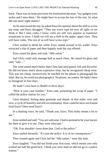lease. There was no lease provision for termination because, "my gadgets were stolen and I miss them." He might have to accept the loss of the rent. So what did one more night matter?

As he unscrewed the top, he asked Enzo his opinion about the shift to screw top wine, and Enzo shrugged. "They say screw tops are now all right, so we drink it. But I miss corks. I know corks are still very popular at expensive restaurants in town. I think we will see a shift in the upper, upper class. They will have corks. The rest of us will have screw tops."

Chris waited to drink his while Enzo rooted around in his wallet. Enzo extracted a slip of paper and then happily took the cup offered.

Enzo raised his glass and said, "*Alla salute*."

Sad Chris could only manage half as much cheer. He raised his glass and said, "salu…"

The wine tasted much better than Chris had anticipated, full and flavorful. He did not know much about expensive wine, but he recognized cheap wine. This was not cheap. Instinctively he reached for his phone to photograph the label. But no, he could not photograph it. No phone, no camera. He hadn't been to Instagram in four days.

*He hadn't even been to Reddit in three days!*

"Here is your case number," Enzo said, presenting the scrap of paper. "I called the police station for you."

Chris blushed, feeling deep gratitude and shame, in that order, over and over, a cycle of humility and self-recrimination. How could he have not trusted kind Enzo? Deer-eyed Enzo?

In a shaking voice, he said, "Thank you, Enzo. This really means a lot to me."

Enzo smiled and said, "You are welcome. I had to pretend to be your lawyer for them to give it to me. They were reluctant."

"Oh. You shouldn't have done that. Lied to the police."

Enzo smiled dreamily. "It's just the police. It is of no consequences."

They toasted again and Chris led the "*Alla salute*," toast this time.

Enzo laughed. "You did not finish your first toast, which means you only wished me half the good luck. I think you were mad we did not go to a police station."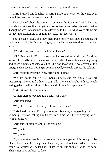Chris blushed and laughed, assuring Enzo such was not the case, even though he was pretty close to the truth.

They chatted about the renter's insurance, the items in Chris's bag and Chris hinted at his online obligations, how others depended on his participation. Though he was not ashamed of his devotion to the World of Warcraft, he did not feel like explaining it, as it might make him feel worse.

The sun sank lower, and they each drank more wine, Enzo discussing the buildings in sight, the famous bridges, and his favorite part of the city, the river at sunset.

"Why did you send me to the Medici Palace?"

"Oh," Enzo said. "To make sure we had something to discuss. I did not know if I would be able to speak with you easily. I have only seen you grumpy and upset. Understandable, yes, but I did not know you. If we arrived at this bridge and discovered nothing in common, well, we could discuss the palazzo."

Chris felt bolder for the wine. "How am I doing?"

"We are doing quite well," Enzo said, raising his glass. "You are interesting. The sun is fat, like an egg yolk. The water laughs with us. People eating gelato, walking along. It is a beautiful time for happy hour."

Chris offered his glass to clink.

As their glasses touched, Enzo said, "Or a date."

Chris snickered.

"Why, Chris, does it bother you to call this a date?"

Chris liked the way Enzo pronounced his name, exaggerating the word without pretension, calling him Ca-riss each time, as if he were saying *caress* with a rolling *r*.

Chris said, "I didn't want to lead you on."

"Why not?"

"Why *not*?"

"*Si*, why not? A date is not a promise for a life together. It is not a promise of sex. It is a date. It is the present tense only, no future tense. Why not have a date? You worry I will be lead on. If I am led on, it is because I wish it to be so. That is not your problem to face."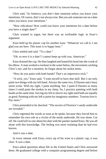Chris said, "In America, you don't date someone unless you know your intentions. Of course, that's not always true. But you ask someone out on a date when you know your intentions."

"How ridiculous! How could you know your intentions for a date before you have a single date?"

Chris wanted to argue, but there was an irrefutable logic in Enzo's argument.

Enzo held up his plastic cup for another toast. "Whatever we call it, I am glad you are here. This toast is to happy hour."

Chris smiled and said, "To a date."

"Oh, so *now* it is a date? I cannot keep up with you, American."

Enzo drained the cup. He then laughed and leaned his head into the crook of his elbow. A man worked a rowboat in the water below, the movement catching Chris's eye, and for a moment, he forgot about his stolen items.

"How do you paint with both hands? That's an impressive trick."

"A trick, yes," Enzo said, "I train myself to have that skill. But I can only paint two things with my left hand. Always the same two, Il Duomo and a busy street scene. With my right, I paint anything. See, I paint Il Duomo so many times I could paint the strokes in my sleep. So, I practice painting with both hands at the same time, forcing my left to mirror my right until both are equally as good. Painting with my left is paint-by-imaginary-numbers. Tourists love it. Pay more."

Chris pretended to be shocked. "The secrets of Florence's seedy underside are revealed."

Chris regretted the words as soon as he spoke, because they forced him to remember his own role as a victim of the seedy underside. He was alone. Cut off. He could tell *no one* about his date with the painter named Enzo. He was all alone with this knowledge. The feeling was more isolating than he had ever known.

And it *was* a date.

In every minute with Enzo, every sip of his wine in a plastic cup, it was clear. It was a date.

Enzo asked questions about life in the United States and Chris answered them. He graduated college with a computer programming degree and before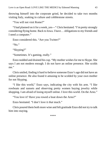throwing himself into the corporate grind, he decided to take two months visiting Italy, soaking in culture and cobblestone streets.

"You will not visit Rome?"

"I had planned on it for a week, yes—" Chris hesitated. "I'm pretty strongly considering flying home. Back to Iowa. I have… obligations to my friends and I need a computer."

Enzo considered this. "Are you Twitter?"

"No."

"Skyping?"

"Sometimes. It's gaming, really."

Enzo nodded and drained his cup. "My mother wishes for me to Skype. She says I am not modern enough. I do not have an online presence. She scolds me."

Chris smiled, finding it hard to believe someone Enzo's age did not have an online presence. He also found it amusing to be scolded by your own mother for not Skyping.

"I like this world," Enzo says, indicating the city with his arm. "I like rowboats and sunsets and observing pretty women buying jewelry while shopping. I am afraid of losing myself online. I love this world. On the Arno."

"You love it? Have you rowed a boat down the Arno?"

Enzo hesitated. "I don't love it *that* much."

Chris poured them both more wine and felt gratitude Enzo did not try to talk him into staying.

\*\*\*\*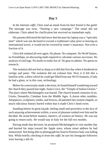## **Day 5**

In the Internet *caffé*, Chris read an email from his best friend in the guild. The message was terse. "Starting a new campaign." The email did not elaborate. Chris asked for clarification but received no immediate reply.

His parents delivered the bad news that because his laptop was a "specialty item" which was not declared to exceed a traditional value prior to leaving on international travel, it would not be covered by renter's insurance. Not even a fraction of it.

Chris felt isolated all over again. No phone. No computer. No WoW humor, no friendships, no discussing math required to calculate various successes. No analysis of raid logs. No noobs to make fun of. No gear to admire. No quests to research.

The isolation did not feel as sharp as it did that first day when it bordered on vertigo and panic. The isolation did not exhaust him. Now it if felt like a familiar ache, a thirst which he could get filled from any Wi-Fi fountain, if only he had a glass, or in this case, technology.

Before he consciously made a decision, he found himself wandering toward the church they passed last night, Santa Croce, the "Temple of Italian Glories." The place where Michelangelo was buried. The church hosted centuries of art. Giotto, Donatello, Cimabue from the Middle Ages. A dozen other notables. Altarpieces, sculptures, tombs, and frescos, all jammed into sixteen chapels, so much ridiculous history buried within that it made Chris's head swim.

Standing before its great façade, feeling small and powerless in the face of such amazing achievements within, a wave of pleasure rushed over him and he decided. He stood before masters, *masters*, of western art history. He was not going to return early. He would stay in Italy for the full two months.

Having made that decision, he promised Michelangelo to visit another day and hurried his steps toward the Apple store, whose street address he had memorized. Not being able to photograph his food in Florence Italy was killing him. While briefly checking in from the *caffé*, he saw his Instagram followers were having a shit fit.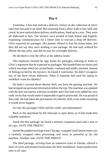### **Day 6**

Yesterday, Chris had noticed a delivery sticker on the collection of silver mail slots but paid it no mind. But returning from a short walk to buy milk and cereal, he now noticed three delivery notifications, lined up in a row. They were all addressed to him. The stickers were printed in both Italian and English, requesting communication for a better time to execute a drop-off delivery. Chris expected no packages. His parents offered to buy his ticket home, but they did not say they were sending a care package. He had only ordered his iPhone the day prior, and did not pay for overnight delivery.

He decided to visit the office at the address listed.

The employee insisted he sign forms for packages, refusing to listen to Chris's argument that he expected no packages. She handed him two boxes and a thick envelope which he carried home, confused and mildly alarmed. Instead of feeling excited by the mystery, he found it worrisome. He didn't recognize any of the three return addresses. What if someone had used his laptop to somehow scam his identity?

He hadn't worried about identity theft, not from the gaming machine. He had stripped out personal information before the trip. The machine was updated with the best encryption software available and Chris had even added his own code, tricks that would make it impossible to guess passwords. He was proud of that code. He had taken the precautions for identity theft, even while assuming it would never happen.

So why the packages? Who had his credit card information?

Back in the apartment he felt reluctant to open them, as if that made him culpable somehow.

Inside the first package, he found a memory expansion pack and a note in all caps. SAVE THE PRIEST!

Inside the padded envelope from Chicago, wrapped a half-dozen times was a carefully wrapped video processing card twice as powerful as his old machine. Another note. SAVE THE PRIEST!

The third package, arriving from an unknown town in Florida, offered a mess of wires and printed instructions for their installation. Same handwritten note in all caps.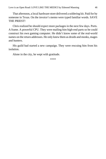That afternoon, a local hardware store delivered a soldering kit. Paid for by someone in Texas. On the invoice's memo were typed familiar words. SAVE THE PRIEST!

Chris realized he should expect more packages in the next few days. Ports. A frame. A powerful CPU. They were mailing him high-end parts so he could construct his own gaming computer. He didn't know some of the real-world names on the return addresses. He only knew them as druids and monks, mages and hunters.

His guild had started a new campaign. They were rescuing him from his isolation.

Alone in the city, he wept with gratitude.

\*\*\*\*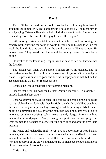### **Day 8**

The CPU had arrived and a book, two books, instructing him how to assemble the computer. A death knight with a passion for PVP had sent him an email, saying, "Wren will send you bullshit do-it-yourself books. Ignore them. I'm texting YouTube links for this guy I found. He's a pro."

Still missing parts essential to construction, Chris could do nothing but happily wait. Knowing the solution would literally be in his hands within the week, he found his time away from the guild somewhat liberating now. He missed them. They loved him. He would be coming home, his true home online.

He strolled to the Foundling Hospital with an ease he had not known since the first day.

The piazza was thick with people, a lunch crowd he decided, and he instinctively searched for the children who robbed him, unsure if he would give chase. His possessions were gone and he was unhappy about that, but he had accepted that he would not receive justice.

Besides, he would construct a new gaming machine.

Hadn't that been his goal for his next gaming machine? To assemble it himself from the best parts?

Enzo was surrounded, as expected, and coming up behind him, Chris could see his left hand work furiously, then his right, then his left. He liked watching the faces of strangers, impressed by Enzo's gift. While painting with both hands might be a gimmick, the quality of the paintings was undoubtedly real. Chris marveled as the surprising colors were quickly forged into something memorable, a murky-green Arno, flowing past pink flowers emerging from what seemed to be a paint splotch, requiring only lines and order to give them meaning.

He waited and realized he might never have an opportunity as he did at that moment, with only six or seven observers crowded around, and he did not want to wait hours until Enzo finished his shift. Over a few minutes, he worked his way into the front of the crowd and made sure to make eye contact during one of the times when Enzo looked up.

Chris smiled.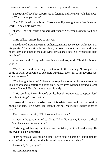Enzo grinned back but suppressed it, feigning indifference. "Oh, hello, Cariss. What brings you here?"

"Yes," Chris said, stumbling. "I wondered if you might have free time after work. To celebrate with me."

"I see." The right brush flew across the paper. "Are you asking me out on a date?"

Chris balked, unsure how to answer.

Enzo looked around the small audience, making eye contact with several of his guests. "The last time he was here, he asked me out on a date and then, hours later, explained to me over wine, it was *not* a date. So I wish to be clear this time."

A woman with frizzy hair, wearing a sundress, said, "He did this over wine?"

"Yes," Enzo said, returning his attention to the painting. "I brought us a bottle of wine, good wine, to celebrate our date. I took him to my favorite spot along the Arno."

"*You* brought the wine?" The man who spoke was mid-thirties and wearing khaki shorts and a patterned button shirt, hairy arms wrapped around a large camera. He took Enzo's picture intermittently.

Chris could see Enzo's hint of a smile, though he attempted to appear "lost" in both paintings' construction.

Enzo said, "I only wish to be clear if it is a date. I was confused the last time because he said, '*it's a date*.' But later, it was not. Maybe my English is not so good."

The camera man said, "Oh, it sounds like a date."

A lady in the group turned to Chris. "Why did you say it wasn't a date? He's so handsome. *Look* at him."

Chris laughed, feeling humiliated and punished, but in a friendly way. He deserved this, he suspected.

"I am here to ask you out on a date," Chris said, blushing. "I apologize for any confusion last time, but this is me asking you out on a date."

Enzo said, "Ah, a *date*."

He resumed painting.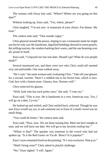The woman with frizzy hair said, "Where? Where are you going on this date?"

Without looking up, Enzo said, "Yes, where, please?"

Chris laughed. "I'm not sure. A restaurant of your choice. For dinner. My treat."

The camera man said, "That sounds vague."

Chris glanced around the piazza, hoping to see a restaurant name he might use but he only saw the handsome, dignified buildings dressed in warm pastels, the milling tourists, the vendors barking their wares, and the sun beaming over all, proud of itself.

Enzo said, "I enjoyed our last non-date. Should I go? What do you people think?"

Several murmured yes, and there were two who Chris could tell seemed very uncomfortable. One man walked away.

"He's cute," the same woman said, evaluating Chris. "Take off your glasses for a second, sweetie. There's a reddish tint to his brown hair, which is nice. Cute face with a button nose. Glasses, hon. Dresses well."

Chris removed his glasses.

"Well, look who has such pretty eyes," she said. "I vote yes."

Enzo said, "This is true. He is handsome in a very American way. Yes, I will go on a date, Ca-riss."

He looked up and smiled, and Chris smiled back, relieved. Though he was sure Enzo would say *yes*, to ask someone out in front of a small crowd was no small thing.

"You could do better," the camera man said.

Enzo said, "Now, now. We are done teasing him. Meet me here tonight at nine, and we will have our date. We will go to my favorite rooftop bar."

"Where is that?" The speaker was someone in the crowd who had not spoken up. "Is it the Red Garter on Via de' Benci? Is it popular?"

Enzo's eyes remained fixed on the painting. "It's very exclusive. Nine p.m."

"Shall I bring wine?" Chris asked in playful challenge.

"No," Enzo sighed. "I will. Again."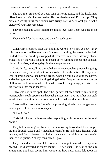The two men snickered at poor, long-suffering Enzo, and the khaki man offered to take their picture together. He promised to email Enzo a copy. They protested gently until the woman with frizzy hair said, "Don't you want a picture of your first *real* date?"

They relented and Chris knelt to be at face level with Enzo, who sat on his bucket.

They smiled for the camera and then for each other.

\*\*\*\*

When Chris returned later that night, he wore a new shirt. A new *Italian* shirt, cream-colored like so many of the stucco buildings he passed in the dark. In darkness the buildings wrapped themselves in a more drowsy shade, exhausted by the wind picking up speed down winding streets, the constant clatter of tourists, and long days in the unexpected sun.

Chris felt fearful walking through the city, not enough to prevent his going, but exceptionally mindful that crime exists in beautiful cities. He stayed on well-lit *strade* and walked behind groups when he could, avoiding the narrow and twisting streets that felt inviting during the day. Despite mysterious sources of illumination from somewhere down their crooked beginnings, he resisted the urge to walk into those shadows.

Enzo was not in his spot. The other painter sat on a bucket, fast-talking tourists. Chris could appreciate that each painter must have his or her own style to sell, their own gimmick or draw. A small crowd stood around him.

Enzo walked from the fountain, approaching slowly in a long-sleeved hunter-green shirt tucked into his jeans.

"*Ciao, bello*."

Chris felt like an Italian-wannabe responding with the same but he said, "*Ciao*."

They fell in walking side by side, Chris following Enzo's lead. Enzo looped his arm through Chris's and it made him feel safer. He had seen other men walk this way and from it learned that Italian men were downright affectionate with their pals in public. Nobody considered it gay.

They walked arm in arm. Chris resisted the urge to ask where they were headed. He discovered it didn't matter. He had spent the rest of the day anticipating this hour, seeing him, wondering how much Enzo felt about the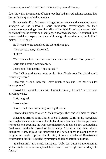date. Now that the moment of being together had arrived, talking seemed like the perfect way to ruin the moment.

He listened to Enzo's shoes scuff against the cement and when they neared strangers on the sidewalk, Chris impolitely eavesdropped on their conversations, wanting to hear their slice of life. With Enzo's arm looped in his, he did not fear the streets and their jagged-toothed shadows. He doubted Enzo was a martial arts expert, and they might weigh almost the same, but it didn't matter. He felt safer.

He listened to the sounds of the Florentine night.

"You passed a test," Enzo said.

"I did?"

"Yes. Silence test. Can this man walk in silence with me. You passed."

Chris said nothing. Stared ahead.

Enzo shook him gently. "You passed."

"Yes," Chris said, trying not to smile. "But if I talk now, I'm afraid you'll reduce my score."

Enzo said, "Good. Because I have much to say and I do not wish for interruptions."

Enzo did not speak for the next full minute. Finally, he said, "I do not have anything to say."

Chris laughed.

Enzo laughed.

Chris teased Enzo for failing to bring the wine.

Enzo said in a serious voice, "I did not forget. The wine will meet us there."

When they arrived at the Church of San Lorenzo, Chris hardly recognized the rough-hewn structure as a church, let alone a basilica. The sloppy brown waves of stone covering the front resembled rows of planted dirt, captured in a field sown vertically instead of horizontally. Staring at the plain, almost disfigured front, it gave the impression the parishioners thought better of religion and sealed up the church. Still, it was a wonder of Renaissance construction inside, its perfect symmetry and fabled interior columns.

"It is beautiful," Enzo said, staring up. "Ugly, too, but it is a monument to all the artists who never completed their visions, to all the glorious works yet to finish."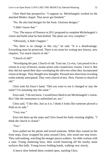Chris liked that perspective. "I suppose so. Michelangelo worked on the attached Medici chapel. That never got finished."

"No. He also had designs for the front. Glorious designs."

"I didn't know that"

"Yes. The mayor of Florence in 2011 proposed to complete Michelangelo's vision and build what he had drafted. The plans are very complete."

"Obviously, it didn't happen."

"No, there is no change in this city," he said. "It is a disadvantage. Everything must be preserved. There is no room for writing new history, new chapters. Too much church of old."

"Church of old?"

"Worshiping the past. Church of old. Trust me, Ca-riss, I am proud to be a citizen in a city of heroes, insane artists who created new visions. I love it. But they did not spend their days worshiping the old even when they incorporated classical design. They thought new thoughts. Pursued new directions revealing truths nobody anticipated. They were church of new. Now, Firenze is church of old."

Chris took his Enzo's hand. "Did you want to see it changed or stay the same? I'm assuming stay the same."

Enzo said, "I do not know. I would have liked to see Michelangelo's vision. But I like the monument to unfinished art, too."

Chris said, "I like this. Just as it is. I think it looks like someone plowed a field on its side."

"Very true."

Enzo led them up the steps and Chris found his body resisting slightly. "I think the church is closed."

"Yes."

Enzo pulled out his phone and texted someone. While they waited on the front steps, Enzo wrapped his arms around Chris, who stood one step lower. They said nothing, watching the meager piazza walkers. An older woman with a cane. Young chattering boys, their words bouncing off the nearby stone surfaces like balls. Young lovers holding hands, walking very slowly.

A heavy door behind them creaked open, startling Chris.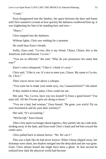"Come."

Enzo disappeared into the shadow, the space between the door and frame and Chris wanted to scream at how quickly the darkness swallowed him up, it was frightening for him to be standing here and now—

"Hurry."

Chris stepped into the darkness.

Without lights, Chris saw nothing for a moment.

He could hear Enzo's breath.

Softly, Enzo said, "Ca-riss, this is my friend. Chiara. Chiara, this is the American with misfortune. Ca-riss."

"You are so affected," she said. "Why do you pronounce his name that way?"

Enzo's voice whispered, "I like it. I think it's sexy."

Chris said, "I like it, too. It's nice to meet you, Chiara. My name is Ca-riss. Or, *Chris*."

Their voices never rose above a whisper.

"You want me to make your name sexy, too, Caaaaariiiiiiiiis?" she asked.

If they smiled at these jokes, Chris could not see.

She said, "So, Ca-riss, have you two kissed? Is Enzo a good kisser? You must tell. All the *Firenze* girls are dying to know."

"You are a bad, bad woman," Enzo hissed. "Be gone, you witch! Fly on your broomstick and do your dark witchery!"

She said, "It's accounting."

"*Witchcraft*," Enzo hissed.

After a few quiet exchanges about logistics, they parted, she up a side aisle, striding away in the dark, and Enzo took Chris's hand and led him toward the center nave.

Chris pulled back in almost horror. "*No. We can't*."

This was a dark like he had never known. When Chiara slipped away, her footsteps were silent, her shadow merged into the deep dark and she was gone. *Gone*. Chris almost feared she might have been a ghost. At that second he realized how dark the physical world had become.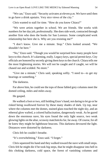"We can," Enzo said. "Security activates at eleven p.m. We have until then to go have a drink upstairs. Very nice views of the city."

Chris wanted to stall for time. "How do you know Chiara?"

"We were artists together in school. We are friends. She works with numbers for her day job, professionally. She does side work, contracted through another firm who does the books for San Lorenzo. Some complicated work relationship but here she is. Why are you resisting me?"

"I don't know. Give me a minute. Stop." Chris looked around. "We shouldn't be here."

"No," Enzo said. "Though you would be surprised how many people have keys to this church. It's alarming, really. Legacy keys, special permit keys. City officials are honored by secretly giving them keys to the church. Chiara tells me the most frightening stories. We will not be caught and if caught, we will be chased out and scolded. No more."

"Give me a minute," Chris said, speaking softly. "I need to—to get my bearings or something."

The darkness.

Far above him, he could see the tops of those fabled grey columns meet the domed ceiling, miles and miles away.

He gasped.

He walked a foot or two, still holding Enzo's hand, not daring to let go or he risked being swallowed forever by these many shades of dark. Up top, near where the columns met the domes, stained glass touched the night sky, and an ethereal glow wafted, a colored hallucination, dangerously weak. As he gazed down the enormous nave, his eyes found the only light source, two weak glowing lights on the altar, scrawny matchsticks far, far away. Of course, for all he knew they might be lighthouse beacons. This darkness devoured the light. Distances were distorted by darkness.

Chris felt he couldn't breathe.

"It's overwhelming," Enzo said. "I forget."

Chris squeezed his hand and they walked toward the nave with small steps. Chris felt he might die if he took big steps, that he might disappear into hell in this choking darkness, cold space, the forest of vanishing columns and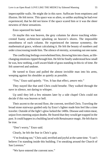imperceptible walls. He might die in this nave. Suffocate from emptiness and illusion. He felt terror. This space was so alien, so unlike anything he had ever experienced, that he did not know if the space scared him or it was the sheer newness of these sensations.

Enzo squeezed his hand.

Or maybe this was heaven, the grey columns far above touching whitecrested foamy architecture splashing on heaven's shores. The impossible smoothness of each column. He experienced the intense symmetry, the mathematical grace, without calculating it. He felt the beauty of numbers and order crisscrossing inside him. The silence of eternity, screaming out one name.

The conflicting feelings overwhelmed him, throwing him into chaos, as lifechanging emotions ripped through him. He felt he finally understood how small he was, how nothing, a self-aware blade of grass standing in this tic of time. He felt unnerved and undone.

He turned to Enzo and pulled the almost invisible man into his arms, weeping against his shoulder as quietly as possible.

"Yes," Enzo said quietly. "Yes. It has that effect, *amore mio*."

They stayed like that until Chris could breathe. They walked through the nave in silence, not daring to whisper.

Up until they left a few minutes later by a side chapel Chris could not decide if this was heaven or hell.

Their ascent to the second floor, the convent, terrified Chris. Traveling the broad stone stairways guided only by Enzo's lighter made him feel like a time traveler. Outside of the light's glow lurked the 1400s. Disease and rotten meat, unjust lives meeting unjust deaths. He feared that they would get trapped in the past. It could happen in a building laced with Renaissance magic. He felt that to be true.

"Don't worry," Enzo said.

Clearly, he felt the fear in Chris's grip.

"I'm freaking out," Chris said, terrified and joyful at the same time. "I can't believe I'm standing inside this building. I'm sneaking around the Church of San Lorenzo."

"We have entered the convent now."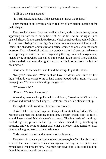"Still, it's sneaking around."

"Is it still sneaking around if the accountant knows we're here?"

They chatted in quiet voices, which felt less of a violation outside of the main chapel.

They reached the top floor and walked a long, wide hallway, heavy doors appearing on both sides, every few feet. At the far end on the right, Enzo opened a heavy door to an unlocked room, which somehow disappointed Chris. All that was missing from the night's adventures was someone picking a lock. Inside, the abandoned administrator's office seemed at odds with the stone masonry. The modern desk and meager wooden chairs had been pushed to one side, opening the room for more congenial gatherings. A small halogen lamp tucked away somewhere was called into service. Enzo turned it on, shielded under the desk, and used the light to extract alcohol bottles from the bottom desk drawer.

Chris went to the window and found the strings to pull the blinds.

"Not yet," Enzo said. "Wait until we have our drinks and I turn off this light. What do you want? Wine or hard drinks? Good vodka. Rum. We have orange juice. We have a mini-fridge plugged in."

"Who uses this?"

"Friends. We keep it stocked."

When they were well supplied with hard liquor, Enzo directed Chris to the window and turned out the halogen. Lights out, the double blinds went up.

Through the wide window, Florence was revealed.

Chris clutched his mouth to prevent his jaw from stretching further. The red rooftops absorbed the gleaming moonlight, a pearly cream-color so rare it would have gained Michelangelo's approval. The hundreds of buildings, nestled together, penned in the city, like white-backed sheep, touching by necessity and yet trying to honor each other's privacy. They turned on each other at all angles, nervous, quiet neighbors.

Chris wanted to scream, the insanity of such beauty.

They stood in silence, perhaps another silence test, but Chris hardly cared if it were. He heard Enzo's drink clink against the ring on his pinkie and remembered who brought him. A warmth came over him, a desire to kiss him, though he knew it would be a mistake.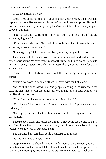In the meantime, *Firenze*.

Chris stared at the rooftops as if counting them, memorizing them, trying to capture the moon like so many tributes before him in song or prose. He could even see silver beams gleaming along the Arno, snatches of the river glimpsed between buildings.

"I can't stand it," Chris said. "How do you live in this kind of beauty without going mad?"

"*Firenze* is a little mad," Enzo said in a doubtful voice. "I do not think you are wrong in your assessment."

"It's staggering." Chris stared wolfishly at everything in his vision.

They spent a full drink's worth of time pointing out landmarks to each other, Chris asking "What's that?" most of the time, and Enzo doing his best to remember every intersection. He knew most of them, proving himself as a true art historian.

Chris closed the blinds so Enzo could flip on the lights and pour more drinks.

"You're not worried people will see us, even with the lights on?"

"No. With the blinds down, no. And people standing in the window in the dark are not visible with the blinds up. We drank here in high school. We verified this ourselves."

"Your friend did accounting here during high school?"

"No, she and I had not yet met. I knew someone else. A guy whose friend had a key."

"Good god, I had no idea this church was so slutty. Giving it up to half the city at night."

Enzo stepped closer and raised the blinds so they could see the city again. "I see. You think that our churches are slutty and throw themselves at every tourist who shows up in our piazza, eh?"

The distance between them could be measured in inches.

"Is this what you think, Ca-riss?"

Despite wondering about kissing Enzo for most of the afternoon, now that the actual moment had arrived, Chris found himself surprised—surprised to be here, in the moonlight, ready to kiss the attractive man with caramel eyes.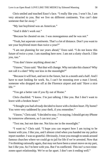Chris smiled and touched Enzo's face. "I really like you. I won't lie, I am very attracted to you. But we live on different continents. You can't date someone that far away."

"My last boyfriend was an American."

"And it didn't work out."

"Because he cheated on me. I was monogamous and he was not."

"Yeah, but *separate continents*. That's a lot of distance. Don't you want to see your boyfriend more than twice a year?"

"I am not planning for our years ahead," Enzo said. "I do not know this future of twice a year. I am standing here now. I am not a slutty church. I like you, too."

"You don't know anything about me."

"I know," Enzo said. "But that will change. Why not take this chance? Why not call it a date? Why not kiss in the moonlight?"

"Because it will hurt, and not in the future, but in a month and a half. And I have to start looking for work. So, I can't be mooning over a man I loved, someone who dropped me off at the Florence airport and said 'Have a nice life."

"You get a better rate if you fly out of Rome."

Chris chuckled. "I know. I'm just talking. I like you. But I don't want to leave with a broken heart."

"I thought you had *already* decided to leave with a broken heart. Fly home? You were very saddened by your theft, if you remember."

"I know," Chris said. "I decided to stay. I'm staying. I should get my iPhone by tomorrow afternoon, so I can text you."

"Text me, but not date me. Not kiss me in the moonlight."

"I want to," Chris said. "I hope you can respect how I am trying to be honest with you. I like you, and I almost cried when you handed me my police report number. I was so grateful. Obviously, I trust you enough to sneak around famous churches where we could go to jail for life if we're arrested. Now that I'm thinking rationally again, that may not have been a smart move on my part, but I *like* you. So I'm here with you. But I'm conflicted. This isn't a two-timezones-apart relationship. We're so far apart. I don't see it ending well."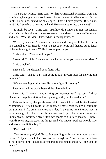"You are not wrong," Enzo said. "With my American boyfriend, I went into it believing he might be my soul mate. I hoped he was. And he was not. Do not think I do not understand the challenges. I know. I have grieved. But. *Amore mio*! It is *love* which offers us its hand. How can you refuse the dance?"

"It might be love," Chris said. "But how do I know I'm not just lonely? You're incredibly nice and I need someone to stand next to because I'm scared and alone. What if I don't know what I need right now?"

"What if you are an American on vacation and I am your Italian love story you can tell all your friends when you get back home and then go out to fancy clubs in tight-tight pants. While Enzo mopes for you."

Chris smiled. "You would mope."

Enzo said, "I might. It depended on whether or not you were a good kisser."

Chris chuckled.

Enzo said, "I understand your fears. I do."

Chris said, "Thank you. I am going to kick myself later for denying this moment."

"We are wasting all this beautiful moonlight. So creamy."

They watched the world beyond the glass window.

Enzo said, "I knew it was making you nervous, walking past all those blocks and no police station. I was playing with you. I teased you."

This confession, the playfulness of it, made Chris feel brokenhearted. "Sometimes, I wish I could let go more, be more relaxed. I'm a computer programmer. I like order and creating order. At the same time, I know that it's not always good to be too much one way, so I try to be more adventurous. Spontaneous. I promised myself this two month trip to Italy because I knew it would stretch me, and teach me things. And who knows? Perhaps I would meet and kiss a cute Italian boy."

"Do I qualify?"

"You are *overqualified*, Enzo. But standing with you here, you're a real person. Not just a cute Italian boy. You are thoughtful. You're clever. You have a life. I don't think I could kiss you and be too casual about it. I like you too much."

Enzo sighed.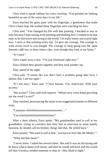Chris tried to speak without his voice cracking. "You painted me looking beautiful on one of the worst days in my life."

Enzo touched the glass pane with his fingertips, a gentleness that made Chris's heart leap. He wished those fingertips were touching his face.

Chris said, "You changed my life with that painting. I decided to stay in Italy because I kept staring at the painting and thinking how I wanted to be that man, to be that brave and strong in the world. I'm really lonely and scared right now. I stare at that painting every day. To give me courage. The courage to walk across town to you tonight. The courage to keep going into the same Internet *caffé* two or three times a day, even though they look at me funny."

"It's hard."

Chris wiped away a tear. "I'm just emotional right now."

Enzo clinked their glasses together and they took another sip.

They stared at the night.

Chris said, "It seems like you don't have a problem going after love. I admire that. I am too rigid."

"It's not easy," Enzo said. "I have bruises. You Americans. With your accents."

"My accent?" Chris said with surprise. "Whose sexy voice keeps growling out the word Ca-riss?"

They smirked, pronouncing the name in an exaggerated manner in different ways.

"Caaaaaaa-riiiiiiiiiiiisssssssssssssssssssssss…"

"Car-iiiiiiiiiiiiiiiiiiiiiiiiiiiiiiiiiiiiiiiiiis!"

After a short silence, Enzo spoke. "My grandmother used to yell at my grandfather, trying to convince him they had to intervene in some family business, he should call his brother, things like that. He yelled back."

Enzo paused. "She used to yell at him, 'you have to love like the Medici.'"

"What did that mean?"

"I never knew. I asked her several times. She said it was an old saying and he knew what it damn well meant, and then he would yell back and she would tell him Veronica needed someone to step in—they liked to fight."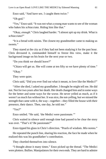Enzo said, "And have sex. I caught them twice."

"Oh god."

"Yes," Enzo said. "It was not what a young man wants to see of the woman who bakes his *schiacciata*. Riding him like that."

"Okay, *enough*." Chris laughed harder. "I almost spit up my drink. What is *schiacciata*?"

"It is a bread with raisins. The closest my grandmother came to making us sweets."

They stared at the city as if they had not been studying it for the past hour. Chris devoured it, commanded himself to freeze this view, make it the background image on his brain for the next year or two.

"Do you think we should leave?"

"Chiara will get us. She will come at ten fifty so we have plenty of time."

"Okay."

They were quiet.

Chris said, "Did you ever find out what it meant, to love like the Medici?"

"After she died, I asked my grandfather. I thought he might tell me. He did not. Not for two years after her death. Her death changed him and in some ways for the better and some ways for the worse. He never yelled as much, as if it weren't as much fun without her. It was nice, the not-yelling, but we missed the strength that came with it, the way—together—they filled the house with their presence, their dance. Then, one day, he told me."

" $Y_{PS}$ ?"

Enzo smiled. "He said, 'the Medici were passionate.'"

Chris waited in silence until enough time had passed to be clear the story was over. "That's it? Be passionate?"

Enzo tipped his glass in Chris's direction. "Pearls of wisdom. *Mio nonno*."

He repeated the punch line, sharing his reaction, the face he made when he realized this was his grandfather's contribution.

They chortled themselves into silence.

"I thought about it many times." Enzo picked up the thread. "The Medici were plotters. Bullies. Manipulators for their own ends. They are hard to admire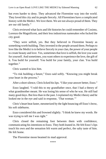but even harder to deny. They advanced the Florentine way into the world. They loved this city and its people fiercely. All Florentines have a complicated history with the Medici. We love them. We are not always proud of them. They are our old family."

Chris reviewed what facts and life histories he could remember of Cosimo, Lorenzo the Magnificent, and their less industrious namesakes who fucked the city good.

"They were selfish, yes. But they believed in Florentine beauty as something worth building. They invested in the people around them. Perhaps to love like the Medici is to believe fiercely in your clan, the power of your people to create beauty and love. Yes, sometimes that love is selfish, the love you want for yourself. And sometimes, you want others to experience the love, the gift of it. You build for yourself. You build for your family, your clan. You build together."

Chris wanted to kiss him.

"To risk building a future," Enzo said softly. "Knowing you might break your heart in the process."

After a short silence, Chris licked his lips. "I like your answer better, Enzo."

Enzo laughed. "I told this to my grandfather once, that I had a theory of what grandmother meant. He was losing his sense of who he was. He still had many good days. But less than in the past. I explained my Medici theory and he looked me in the eye and said in response, 'That woman.'"

Chris's heart beat faster, mesmerized by the light bouncing off Enzo's brow, his soft sideburns.

Enzo considered this and frowned slightly. "I think he knew my words. He was trying to tell me I was right."

Chris closed the remaining foot between them with confidence, communicating his intentions to Enzo. They both leaned in. He felt Enzo's lips touch his own and the sensation felt warm and perfect, the salty taste of him. He felt home.

The Florentine moon beamed its mad approval.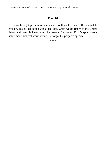# **Day 10**

Chris brought prosciutto sandwiches to Enzo for lunch. He wanted to explain, again, that dating was a bad idea. Chris would return to the United States and then his heart would be broken. But seeing Enzo's spontaneous smile made him feel warm inside. He forgot his prepared speech.

\*\*\*\*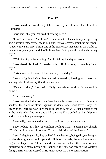## **Day 12**

Enzo linked his arm through Chris's as they stood before the Florentine Cathedral.

Chris said, "Do you get tired of coming here?"

"I do," Enzo said. "And I don't. I can draw this façade in my sleep, every angle, every perspective. I see it, yes, but I try to discover something new about it, every time I am here. This is one of the greatest art museums in the world, so I cannot truly every grow sick of it. It inspires. But I paint this quite a bit every day."

"Well, thank you for coming. And for taking the day off work."

Enzo kissed his cheek. "I needed a day off. And today is new boyfriend day."

Chris squeezed his arm. "I like new boyfriend day."

Instead of going inside, they walked its exterior, looking at corners and sharing bits of art history that they remembered.

"One man died," Enzo said. "Only *one* while building Brunelleschi's dome."

"That's amazing."

Enzo described the color choices he made when painting Il Duomo's shadow, the shade of clouds against the dome, and Chris loved every rich description, learning how Enzo made colors obey his will. Enzo described the art he made in his free time, and while they sat, Enzo pulled out his old phone and showed a few photographs.

Eventually, they made their way to the front façade once again.

Enzo nodded at a line of children holding hands, entering the church. "That's me. Every year in school. Trips to visit Mary of the Flower."

Instead of going inside, they walked down the steps, being silly, exchanging stories about grade school trips and childhood marvels, the small events that began to shape them. They walked the exterior in the other direction and discussed how many people still believed the exterior façade was Giotto's design. Enzo was impressed Chris knew about the 1876 construction.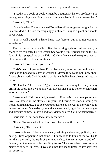"I read it in a book. A book written by a retired art history professor. She has a great writing style. Funny but still very academic. It's well researched."

Enzo said, "Nice."

"She said when Cosimo rejected Brunelleschi's outrageous designs for the Palazzo Medici, he told the very angry architect 'Envy is a plant one should never water."

"She is well-quoted. I have heard that before, but it is not common knowledge."

They talked about how Chris liked her writing style and wit so much, he changed his trip dates by two weeks. She would be in Florence during the last days of his trip, speaking at the Ufittzi Gallery. He wanted to explore most of Florence and then ask her questions.

Enzo said, "We should go see her."

Chris's heart flipped to hear Enzo plan ahead, to know that he thought of them dating beyond this day or weekend. Maybe they could not know about forever, but it made Chris hopeful that his new Italian beau also gazed into the future.

"I'd like that," Chris said. "Again, thank you for coming here on your day off. In the short time I've known you, it feels like a huge honor to come here escorted by you."

Enzo smiled. "I do not mind, honestly. Il Duomo is like a grandparent you love. You know all the stories. But you like hearing the stories, seeing the treasures in the house. You see your grandparent as she was in her wild youth, those crazy tales. Some days you notice a new detail, light from a new angle, and pleasure comes. So, it is good to revisit regularly. Get new perspective."

Chris said, "That sounded a little rehearsed."

"It was. Tourists ask all the time how I feel about the church."

Chris said, "Ha. Knew it."

Enzo continued. "They appreciate my painting and say very politely, 'You must get tired of painting that dome.' They are kind to think of me so I try to tell them the truth, the truth of the relationship. Firenze is very proud of Il Duomo, but the interior is less exciting for us. There are other treasures to be marveled at here. But yes, I have explained this many times, so my answer is not so fresh."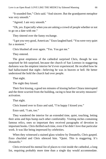"It sounded fine," Chris said. "And sincere. But the grandparent metaphor was very smooth."

"Agreed. I am very smooth."

"Oh, yes. Especially when you are asking a crowd of people whether or not to go on a date with me."

They tittered over the funny exchange.

"I got you very good, American." Enzo laughed hard. "You were very quiet for a moment."

Chris blushed all over again. "Yes. You got me."

They entered.

The great emptiness of the cathedral surprised Chris, though he was surprised he felt surprised, because the church of San Lorenzo in staggering darkness was the emptiest interior he'd ever experienced. He recalled how he had hallucinated that night—believing he was in heaven or hell. He better understood the hold the church had over people.

That night.

The night they kissed.

Their first kissing, a good ten minutes of kissing before Chiara interrupted and the three scurried from the building, racing to beat the security measures' activation.

That night.

Chris leaned over to Enzo and said, "I'm happy I kissed you."

Enzo said, "I am, too."

They wandered the interior for an extended time, quiet, touching, letting their arms and hips bump each other comfortably. Visiting niches containing famous relics, ones so important they received paragraphs of devotion in important books. Chris thrilled each time, even if he didn't love that particular work. It was like being impressed by celebrities.

When they witnessed a stained glass window by Donatello, Chris gasped. Enzo chuckled and Chris silenced him. "Quiet. This is staggering. It's *Donatello*."

Chris reviewed his mental list of places to visit inside the cathedral, a long list, requiring probably more time than a single day would accommodate.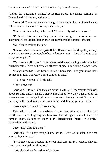Andrea del Castagno's painted equestrian statue, the Dante painting by Domenico di Michelino, and others.

Enzo said, "I was hoping we would go to lunch after this, but I may have to eat the head of a cherub if we stay much longer."

"Cherubs taste terrible," Chris said. "And security will attack you."

"Definitely. You see how they eye me when we get close to the works? They know I am Italian. Italian men are considered the greatest threats."

"No. You're making that up."

"It's true. Americans don't go to Italian Renaissance buildings to go crazy. You do your crazy at home. Churches and museums are where Italians go to be crazy, ruining art."

"Or chiseling off noses." Chris referenced the mad geologist who attacked Michelangelo's Pieta and chiseled off several pieces, including Mary's nose.

"Mary's nose has never been returned," Enzo said. "Did you know that? Someone in Italy has Mary's nose on their mantle."

"That's really creepy," Chris said.

"Yes," Enzo said.

Chris said, "Do you think they are proud? Do they tell the story to their kids about stealing Michelangelo's nose? Describing how they happened to be present when a crazed geologist used a hammer to damage the art? Do they end the story with, 'And *that's* when your father said, honey, grab that schnoz.'"

Enzo laughed. "Yes. I like your story."

They held hands, admired the beams above them, admired each other, and left the interior, feeling very much in love. Outside again, studied Ghiberti's famous doors, claimed to usher in the Renaissance interest in classical proportions and beauty.

Enzo said, "Cherub's head."

Chris said, "No baby eating. These are the Gates of Paradise. Give me another five minutes."

"I will give you ten because I like your thick glasses. You look good in your green pants and yellow shirt, too."

Chris blushed and leaned in to kiss Enzo.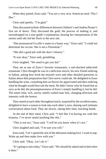When they parted, Enzo said, "You are a very sexy American nerd. This I like."

Chris said quietly, "I'm glad."

They discussed stylistic differences between Ghiberti's and Andrea Pisano's first set of doors. They discussed the gold, the process of making it, and eavesdropped on a tour guide's explanation, hearing her interpretation of the stories until she led her flock to the next site.

"She pronounced Uccello's name in a funny way," Enzo said. "I could not determine her accent. She is not a Florentine."

"She did a good job with the door's history."

"It was okay," Enzo said, grumbling.

Chris laughed. "We need to get you fed."

They ate at one of Enzo's favorite restaurants, a red-checked tablecloth restaurant. Chris thought he was in a delicious movie, his new friend ordering in Italian, asking how fresh the mussels were and other detailed questions in Italian about dish preparation that Chris never could ask. He delighted in Enzo handling the wine, consulting him on flavors he appreciated and then ordering what he thought would best suit the meal. He didn't know why he found that as sexy as he did, the presumptuousness of Enzo's simply handling it, but he did. The entire time, rich, savory smells wafted near him, changing direction and intensity with the breeze.

They stared at each other throughout lunch, surprised by the excellent tastes, delighted to have a reason to look into each other's eyes, sharing such intimate conversation about food. They ate slowly, taking their time, touching hands.

At the end of their meal, Chris said, "I feel like I'm having sex with this tiramisu. I've never tasted anything like this."

"This is not sex," Enzo said. "I will let you know when it's sex."

Chris laughed and said, "I'm sure you will."

Enzo said, "Let's spend the rest of the afternoon making love. I want to nap. Wake up and then make love with you."

Chris said, "Okay. Let's do it."

"It's going to rain today," Enzo said. "We should be naked and in bed when it does."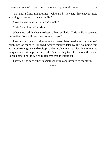"Not until I finish this tiramisu," Chris said. "I swear, I have never tasted anything so creamy in my entire life."

Enzo flashed a sultry smile. "You will."

Chris found himself blushing.

When they had finished the dessert, Enzo smiled at Chris while he spoke to the waiter. "We will need one tiramisu to go."

They made love all afternoon and were later awakened by the soft rumblings of thunder, followed twenty minutes later by the pounding rain against the orange and red rooftops, tinkering, hammering, vibrating a thousand unique voices. Wrapped in each other's arms, they tried to describe the sound to each other until they finally remembered the tiramisu.

They fed it to each other in small spoonfuls and listened to the storm.

\*\*\*\*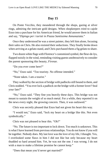#### **Day 15**

On Ponte Vecchio, they meandered through the shops, gazing at silver rings, admiring the intricate gold designs. When shopkeepers tried to cajole Enzo into a purchase for his American friend, he would answer them in Italian and say, "*Dipingo per i turisti in Piazza Santissima Annunaziata*."

Once they understood he was a street painter, they left him alone, focusing their sales on Chris. He also resisted their seductions. They finally broke down when arriving at a gelato stand, and Chris purchased them a fig gelato to share.

Two dozen white flags with Florence's customized symbol, the fleur-de-lys, flapped noisily in the wind, reminding visiting guests unobtrusively to consider the parent sponsoring this beauty, *Firenze*.

"Do you ever come here?"

"No," Enzo said. "Too touristy. No offense intended."

"None taken. I am a tourist."

They walked by the section of bridge with padlocks still bound to them, and Chris nodded. "You ever lock a padlock on the bridge with a former lover? Seal your fate?"

"No," Enzo said. "They fine you heavily these days. This bridge was not meant to sustain the weight of so much metal. For a while, they reported it on the news every night, the growing concern. Then, it was outlawed."

Chris was secretly pleased that Enzo had not given his heart this way.

"I would not," Enzo said, "lock my heart on a bridge like this. Not even symbolically."

Chris was not pleased to hear this. "Oh?"

"No. The future is too important to lock down. Too much is unknown. This is what I have learned from previous relationships. You do not know if you will be together. Nobody does. My last love was the love of my life, I thought. Yes, I overlooked some flaws in him I did not like but only because my heart thudded so hard around him. Yet, he was not the one. I was wrong. I do not wish a man to make a lifetime promise he cannot keep."

"Does that mean you'd never get married?"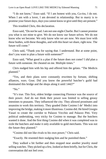"I do not know," Enzo said. "If I am honest with you, Ca-riss, I do not. When I am with a lover, I am devoted in relationship. But to marry is to promise your future days, days you cannot know or give until they are present."

This troubled Chris, this declaration.

Enzo said, "Do not be sad. I am not one-night-Charlie. But I cannot promise you what is not mine to give. We do not know our future selves. We do not know who we become. We only know who we are now. We must love with these bodies, with these thoughts, and with this heart we share, right now. The future will come."

Chris said, "Thank you for saying that. I understand. But at some point, don't you want to plan a future with someone?"

Enzo said, "What good is a plan if the future does not come? I *did* plan a future with someone. He cheated on me. Multiple times."

Chris nudged him with his hip and offered him the gelato. "The Medicis planned."

"Yes, and their plans were constantly rewritten by fortune, shifting alliances, wars. Gout. Did you know the powerful butcher's guild had dominated this bridge and the shops along it until 1442?"

"No."

"It's true. This first, oldest bridge connecting Florence was the source of their power. And do not think their power was limited to selling greasy intestines to peasants. They influenced the city. They allowed prostitutes and assassins to work this territory. They goaded Duke Cosimo I de' Medici into improving the bridge, making it more illustrious. Cosimo did. He hired Giorgio Vasari to create the corridor to Palazzo Vecchio and Palazzo Pitti. Very political undertaking, very tricky for Cosimo to manage. But the butchers wanted it done. And the first thing Cosimo did when it was completed was to exile the butchers and make it only available to gold merchants. This was not the future they planned."

"Cosimo did not like rivals to his own power," Chris said.

"Exactly. He resented their nudging him and he punished them."

They walked a bit further and then stopped near another jewelry stand selling watches. They picked up a few, looked at them briefly, but for Chris, the conversation did not feel over.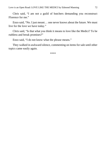Chris said, "I am not a guild of butchers demanding you reconstruct Florence for me."

Enzo said, "No. I just meant… one never knows about the future. We must live for the love we have today."

Chris said, "Is that what you think it means to love like the Medici? To be ruthless and break promises?"

Enzo said, "I do not know what the phrase means."

They walked in awkward silence, commenting on items for sale until other topics came easily again.

\*\*\*\*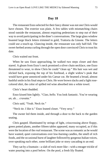The restaurant Enzo selected for their fancy dinner was not one Chris would have chosen. The exterior was plain. A few tables with mismatching chairs stood outside the restaurant, almost requiring pedestrians to step out of their way to avoid participating in the diner's conversations. The large glass window boasted large black letters trimmed in gold, Trattoria da Ginone. The letters could use a touch-up. Glancing inside, the restaurant was only half-full. The sweet-herbed aroma curling through the open door convinced Chris to trust his date.

Chris waited out front.

When he saw Enzo approaching, he walked two steps closer and then stared. A gleam from Enzo's neck promised a silver chain necklace, one Enzo threatened to wear, to show Chris he could "clean up." His hair was wet and slicked back, exposing the top of his forehead, a slight widow's peak that would have gone unnoticed under his Caesar cut. He beamed a broad, almost bashful smile in his final steps to Chris. He wore brown slacks and a light rosecolored shirt, the color of spilled red wine absorbed into a white towel.

Chris's heart thudded.

Enzo kissed him lightly. "*Ciao, bello*. You look fantastic. You're wearing *un*, uh… *cravatta*."

Chris said, "Yeah. Neck tie."

"Neck tie. I like it." Enzo leaned closer. "Very sexy."

The owner led them inside, and through a door to the back to the garden seating.

Chris gasped. Illuminated by strings of light, crisscrossing above floppy, green potted plants, another fifteen tables appeared, many occupied, as if this were the location of the *real* restaurant. The scene was as romantic as he would have wanted, quiet conversations over low-burning candles, the smell of rich foods, and the occasional burst of laughter followed by gorgeous Italian voices, over-speaking each other, some brilliant joke or story cascading to an end.

They sat by a fountain—a slab of rock more like—with a meager trickle of water pouring into a pool below. On the pool, a fresh lily floated.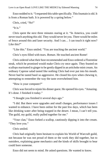Enzo nodded to it. "I requested this table specifically. This fountain is old. It is from a Roman bath. It is powered by a spring below."

Chris, cried, "*No*!"

"It is."

Chris spent the next three minutes staring at it. "In America, you could never touch anything this old. They would never let you. There would be miles of fence around this and laser security. And I can… I can touch it right now? Like this?"

"Like this." Enzo smiled. "You are touching the ancient world."

Chris's eyes filled with tears. *Roman*. He touched ancient Rome!

Chris ordered what their host recommended and Enzo ordered a Florentine steak, which he promised would make Chris cry once again. They feasted on scallops marinated in ginger to be gently dipped in an artichoke mint cream. An ordinary Caprese salad tasted like nothing Chris had ever put into his mouth. Never had he tasted basil so aggressive. He closed his eyes when chewing it, attempting to remember the way the taste overwhelmed him.

"How is your computer?"

Chris was forced to rejoin his dinner guest. He opened his eyes. "Amazing. It's done. I finished it today."

"I thought you finished it several days ago."

"I did. But there were upgrades and small changes, performance issues I wanted to enhance. I have been online for the past few days, which has been like drinking water after being trapped in the desert. I mean, I can't tell you. The guild, my guild, really pulled together for me."

"Your clan," Enzo forked a scallop, cautiously dipping it into the cream. "They love you."

Chris smiled.

Chris had originally been hesitant to explain his World of Warcraft guild, not because he was not proud of them or the work they did together, but to outsiders, explaining game mechanics and the kinds of skills brought to bear could bore someone.

Enzo did not seem to mind. He asked questions. He wanted to know.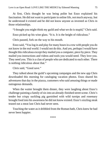At first, Chris thought he was being polite but Enzo explained his fascination. He did not want to participate in online life, not much anyway, but he understood it existed and he did not know anyone as invested as Chris in those relationships.

"I thought you might think my guild and what we do is stupid," Chris said.

Enzo picked up his wine glass. "It is. It is the height of ridiculous."

Chris paused, fork on the way to his mouth.

Enzo said, "You log in and play for many hours in a row with people you do not know in the real world. I would not do this. And yes, perhaps I would have thought this ridiculous except they mailed you a computer, piece by piece. They mailed you instructions and videos and tools you would need. They love you. They need you. This is a clan of people who are dedicated to each other. There is nothing ridiculous about that."

Chris said, "Good save."

They talked about the guild's upcoming campaigns and the new app Chris downloaded this morning for cataloging vacation photos. Enzo shared his adventures that day in the piazza, customers who said amusing things or made outrageous demands.

When the waiter brought them dinner, they were laughing about Enzo's challenge painting a family of six into an already-finished street scene. Chris's tender but crispy suckling pig garnished with wild turnips and rosemary brought food into his awareness he did not know existed. Enzo's sizzling steak teased out a meat lust Chris had never seen.

Touching the water as it dribbled from the Roman bath, Chris knew he had never been happier.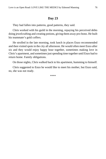They had fallen into patterns, good patterns, they said.

Chris worked with his guild in the morning, repaying his perceived debts doing jewelcrafting and creating potions, giving them away pro-bono. He built his teammate's gold coffers.

He strolled in the late morning, took lunch in places Enzo recommended and then visited spots in the city all afternoon. He would often meet Enzo after six and they would enjoy happy hour together, sometimes making love in Chris's apartment, and sometimes just spending time together until Enzo had to return home. Family obligations.

On those nights, Chris walked back to his apartment, humming to himself.

Chris suggested to Enzo he would like to meet his mother, but Enzo said, no, she was not ready.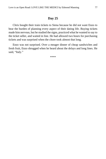Chris bought their train tickets to Siena because he did not want Enzo to bear the burden of planning every aspect of their dating life. Buying tickets made him nervous, but he studied the signs, practiced what he wanted to say to the ticket seller, and waited in line. He had allowed two hours for purchasing tickets and was surprised when the chore took almost that long.

Enzo was not surprised. Over a meager dinner of cheap sandwiches and fresh fruit, Enzo shrugged when he heard about the delays and long lines. He said, "Italy."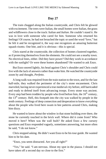The train chugged along the Italian countryside, and Chris felt he glowed with excitement. The trees were Italian, the small homes were Italian, the grass and wildflowers close to the track: Italian and *Italian*. He couldn't stand it. He was in love with someone who cared for him. Someone who returned his feelings! Of course, he had not broached the topic or used the word "love," but he felt it and he recognized it, the way one recognizes an amazing butternut squash risotto. One bite, and it is obvious—this is special.

Chris stared at the countryside, the collection of homes clustered together, as if protecting themselves from the elements. He could not see a nearby town. No electrical lines, either. Did they have power? Did they work in accordance with the sunlight? Or were these homes abandoned? He wanted to ask Enzo.

But Enzo snored lightly, his head against Chris's shoulder and Chris could live with the lack of answers rather than wake him. He watched the countryside zoom by and thought, *Perfetto*.

A long walk was required from the train station to the town, and for the last half-mile, they walked the perimeter of the city's stone encasement. Chris marveled, having never experienced a true medieval city before, still barricaded and ready to defend itself from advancing troops. Every stone was ancient. Every step had been trodden by people who lived before him, the  $16<sup>th</sup>$  century, the  $13<sup>th</sup>$  century. Hell, this footpath into the city was walked by people in the tenth century. Feelings of deep connection and desperation to know *everything* about the people who lived here swam in bee patterns around Chris, making him dizzy.

He wanted to know about the window in that stone building over there, the stone he currently touched in the brick wall. Where did it come from? Who moved it here? When was the wall built? He asked Enzo a few cursory questions and Enzo responded vaguely, sometimes answering, but more often he said, "I do not know."

Chris stopped asking. He didn't want Enzo to be his tour guide. He wanted him to be his date.

"Enzo, you seem distracted. Are you all right?"

"Yes," he said. "I am nervous. About my spot in the piazza. I should not have taken off a second day so close to the first."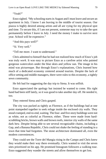"Yeah?"

Enzo sighed. "My schooling starts in August and I must leave and secure an apartment in July. I know I am leaving in the middle of tourist season. Our piazza is highly desired among artists and all are vying for my physical spot and time. To secure this, if I am not present, someone may try to take the spot permanently before I leave in July. I need the money I make to survive next year. School will be expensive."

"And this pays well?"

"*Si*. Very well."

"Tell me more. I want to understand."

Chris admitted to himself that he had not realized how much of Enzo's job was truly *work*. It was easy to picture Enzo as a carefree artist who painted gorgeous watercolors under the blue skies and yellow sun. The image in his mind was picturesque. But through Enzo's explanations, Chris learned how much of a dedicated economy centered around tourists. Despite the lack of office setting and middle managers, there were rules to this economy, a tightly sewn community.

He felt bad for suggesting the day trip to Siena. It was selfish.

Enzo appreciated the apology but insisted he wanted to come. His right hand had been stiff lately, so it was good to take another day off. He needed it, too.

They entered Siena and Chris gasped.

The city was packed as tightly as Florence, as if the buildings had at one point stampeded together to seek refuge inside the enclosed city walls. They stood cramped, end-to-end, waiting. The four- and five-story buildings were not as white, not as colorful as Florence, either. These were made from hardscrabbling bricks, brown walls and brown roofs, interior city walls of the same dark hew. Despite being able to see several recognizable chains, including a Gap, and a Banana Republic, Chris could not shake the feeling of standing in a town that time had forgotten. The stone architecture dominated all, even the modern conveniences.

They could see the Torre del Mangia rising in the Campo and Chris knew they would make their way there eventually. Chris wanted to visit the seven sites prioritized on his app. He promised Instagram followers a walking tour. Enzo suggested they wander the streets and allow themselves to get lost.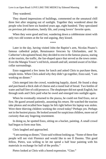They wandered.

They shared impressions of buildings, commented on the unnatural chill three feet after stepping out of sunlight. Together they wondered about the people who lived here six hundred years ago, eight hundred. They speculated on previous job situations, family life, and young lovers' favorite spots.

When they were good and lost, wandering down a cobblestone street with only two old women at the far end arguing, they kissed.

\*\*\*\*

Later in the day, having visited John the Baptist's arm, Nicolas Pisano's famous cathedral pulpit, Renaissance frescoes by Ghirlandaio, and St. Catherine's decapitated head, they decided to rest in the famous piazza, staring at the tourists, the traffic, the fan-shaped space that served as the town center. Even the Mangia Tower's red brick, smooth and tall, seemed aware of its bluecollar surroundings.

Enzo suggested a few items for lunch and asked Chris to purchase them, simple items. When Chris asked why they didn't go together, Enzo said, "I am working on dinner."

Chris merged into the crowd, wandering happily, dazed. He found a shop and purchased a thick slab of cheese and a round loaf of bread. Two bottles of water and half liter of cold prosecco. The shopkeeper did not speak English, but through nods and Chris paid what he owed and emerged into sunlight again.

When he eventually returned to the piazza, he could not find Enzo, not at first. He gazed around patiently, assuming his return. He watched the tourists take photos and recalled how happy he felt right before his laptop was stolen. Were there thieving children working the crowd today? Perhaps yes. Perhaps not in the busiest piazza. He looked around for suspicious children, more out of curiosity than any lingering resentment.

In doing so, he spotted Enzo, sitting on a bucket, painting. A small crowd had begun to form near him.

Chris laughed and approached.

"I am earning us dinner," Enzo said without looking up. "Some of these fine people will not visit Florence and would like to see Il Duomo. This good fellow, Pietro, was willing to let me spend a half hour painting with his materials in exchange for half of the profits."

Pietro looked at Chris with a bored expression. "*Ciao*."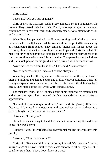Chris smiled.

Enzo said, "Did you buy us lunch?"

Chris opened the packages, feeling very domestic, setting up lunch on the cement. They shared their lunch with Pietro, who kept an eye on the crowd entertained by Enzo's fast work, and eventually made several attempts to speak to Chris in Italian.

When Enzo had painted a dozen Florence settings and left the remaining ones for Pietro to sell, they scaled the tower and Enzo repeated Siena's history as remembered from school. They climbed higher and higher above the rooftops, above the air that was above the rooftops and Chris marveled. So many centuries of humanity had clomped up and down these stairs, these solid stairs, so confident in its powerful construction. They passed archer's windows and Chris took photos for his guild's hunters, skilled with bow and arrow.

"Arrows were fired from these slits," Chris said. "Real arrows."

"Not very successfully," Enzo said. "Siena always fell."

When they reached the top and all of Siena lay before them, the tousled mess of buildings and domes, spikes and ordinary brown buildings, Chris felt he might explode from beauty and love, full of cheese and the delicious, hard bread. Enzo stared at the city while Chris stared at Enzo.

The thick lower lip, the curl of black hairs of his forehead, his straight nose and expressive eyes. The curve of his face demanded a finger stroke of appreciation.

"I would like pears tonight for dinner," Enzo said, still gazing off into the distance. "We must find a *ristorante* with caramelized pears, perhaps as a dessert. Maybe beef medallions in a pear sauce."

Chris said, "I love you."

He had not meant to say it. He did not know if he would say it. He did not know if he *could* say it.

But there it was, the words floating away from the tallest defensive tower in the city.

Enzo said, "How do you know?"

Chris said, "Because I did not want to say it aloud. It's too soon. I do not know enough about you. But the words came out of me without my consent. I could not stop them. That's how I know it's true."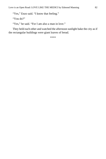"Yes," Enzo said. "I know that feeling."

"You do?"

"Yes," he said. "For I am also a man in love."

They held each other and watched the afternoon sunlight bake the city as if the rectangular buildings were giant loaves of bread.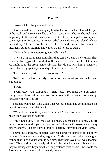Enzo and Chris fought about Rome.

Chris wanted Enzo to accompany him for the week he had planned, for part of the week, and Enzo insisted he could not leave work. The time he took away to go to go to Siena had consequences, just as Enzo anticipated. An up-andcomer vying for Enzo's late-July spot had taken residence, and refused to leave the next day. The artists of the piazza rallied behind Enzo and forced out the insurgent, but they let Enzo know they would not do so again.

"Your guild is not supporting you," Chris said.

"They are supporting me as much as they can, me being a short-timer. They do not wish to aggravate this Matteo. He has skill. He works well with tourists. He might be in the group come July and they do not wish him an enemy. I cannot leave my spot any more days. I must make money."

"I will cancel my trip. I won't go to Rome."

"No," Enzo said vehemently. "You must. You must go. You will regret skipping it."

"I won't."

"I will regret your skipping it," Enzo said. "You must go. You cannot change your plans just because you are in love with someone. You must go forward with who you are."

This made Chris feel bleak, as if Enzo were attempting to communicate his intentions about their relationship.

"We will run out of time, soon," Chris said. "Don't you want us to spend as much time together as possible?"

"Yes," Enzo said. "But I must work. I must. You must go to Rome. You are in Italy for two months, you must go see the Sistine, the Colosseum, and many other wonders. We both know Florence is better. But you must visit Rome."

They argued and grew impatient with each other for their lack of flexibility, but they did not say words they regretted. Chris could not shake the nagging feeling that Enzo did not want to see him. That their love affair was doomed, even if Enzo didn't consciously admit it. When the day eventually came that they would separate, beginning their long-distance relationship, Chris could see Enzo ending what they had so recently begun.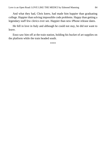And what they had, Chris knew, had made him happier than graduating college. Happier than solving impossible code problems. Happy than getting a legendary staff few clerics ever see. Happier than new iPhone release dates.

He fell in love in Italy and although he could not stay, he did not want to leave.

Enzo saw him off at the train station, holding his bucket of art supplies on the platform while the train headed south.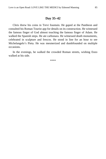#### **Day 35–42**

Chris threw his coins in Trevi fountain. He gaped at the Pantheon and consulted his Roman Tourist app for details on its construction. He witnessed the famous finger of God almost touching the famous finger of Adam. He walked the Spanish steps. He ate carbonara. He witnessed death monuments, celebrated in sculpture and frescos. He stood in line for an hour to see Michelangelo's Pieta. He was mesmerized and dumbfounded on multiple occasions.

In the evenings, he walked the crowded Roman streets, wishing Enzo walked at his side.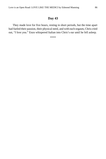They made love for five hours, resting in short periods, but the time apart had fueled their passion, their physical need, and with each orgasm, Chris cried out, "*I love you*." Enzo whispered Italian into Chris's ear until he fell asleep.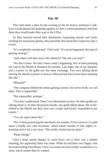They had made a plan for the evening of the art history professor's talk. Enzo would deposit his painting supplies at Chris's rented apartment, and from there they would make their way to the Uffizi.

As they hurried toward their destination, bypassing tourists and locals strolling for restaurant options, they hurriedly discussed their respective day's events.

"It's completely unexpected," Chris said. "It's never happened, this type of gaming strategy."

"And where will they move this shield to? The one you seek?"

"We don't know. We don't know what's happening. We've been planning our raid of the Shield of Damatos for months. Last night, one of our shamans and a warrior in the guild saw the same exchange. Two orcs talking about moving the shield to protect it from us. Blizzard has have never done anything like this."

"Blizzard?"

"The company behind the online gaming system. Our server lords, we call them. This is impossible"

"Not impossible, perhaps."

"You don't understand. There's no information on this. No other guilds are talking about it. In their discussion boards, one guild talked about 'the event' related to the Shield, but they were very cryptic and haven't responded to our emails."

"You are upset about this."

"We've been practicing the mechanics for months. If Orcs move it, it could mean a totally new raid encounter, which means months of late nights, relearning tactics for a new boss. This totally fucked up our plans."

"Plans change."

Chris's head turned sharply to catch Enzo, see if there was a double meaning, but apparently there was none. While he had been very happy with his homecoming from Rome, Chris was aware his time in Italy would draw to a close, much sooner than he wanted.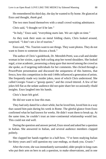He remembered his third day, the day he wanted to fly home. He glanced at Enzo and thought, *thank god*.

The two men found themselves with a small crowd waiting admittance.

Chris said, "I thought we'd be late."

"In Italy," Enzo said, "everything starts late. We are right on time."

As they took their seats on metal folding chairs, Chris looked around, surprised. "I don't see a lot of tourists."

Enzo said, "No. Tourists want to see things. They want photos. They do not want to listen to someone discuss a book."

The author of Chris's guidebook, Dr. Meredith Pretti, was a tall and slender woman in her sixties, a grey bob curling atop her tweed shoulders. She looked regal, a true academic, possessing a sharp gaze that moved among the crowd as she spoke, as if targeting individuals for her comments. She clicked through a PowerPoint presentation and discussed the uniqueness of this buttress, that fresco, how this competition in the mid-1440s influenced a generation of artists. She frequently made wry insider jokes, most of which Chris understood. She called Giorgio Vasari a "gossip queen," and the crowd tittered. A few of her jokes fell flat as the sedate audience did not quite share her occasionally ribald insights. Enzo laughed into his hands.

Chris's heart felt grief.

He did not want to lose this man.

They had only dated for a short while, but he loved him, loved him in a way that caused him pain during his week in Rome. The gleeful glance from Enzo confirmed what he had known for weeks. He didn't want them to break up. At the same time, he couldn't trust an inter-continental relationship would last. This could not end well.

During the question and answer period, Enzo stood and asked her a question in Italian. She answered in Italian, and several audience members clapped politely.

She clapped her hands together in a half-bow. "I've been studying Italian for thirty years and I still question my case endings, so thank you. *Grazie*."

After the event, she was immediately surrounded, older people in long coats who put their arm on hers to ask a question, to make observations, and in one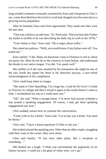long-winded comment eventually translated by Enzo and whispered in Chris's ear, a man described how his travel to work had changed over the years due to a growing tourist population.

After he finished, Enzo and Chris approached. They made sure they were the last ones.

"That was a helluva an odd man," Dr. Pretti said. "Did you hear that? Either my Italian is terrible or he was describing his daily trip to work in the 1970s."

"Your Italian is fine," Enzo said. "He is angry about traffic."

She raised an eyebrow. "Well, you would know if my Italian were off. You tested me."

Enzo smiled. "I did. Many art historians come to Florence to tell us about our great city. Most do not do us the courtesy to learn Italian, and understand the details in our native tongue. You did. You speak well."

She sniffed, as if she were insulted by his insinuation she might be one of the lazy horde but tipped her head in his direction anyway, a non-verbal acknowledgment of his compliment.

Chris could keep silent no longer.

"My name is Chris Spaulding. I'm a huge fan. I read *An Art Lover's Guide to Florence* in college and then I reread it again in the weeks before I came to Italy. I rescheduled my trip so I could meet you."

"Oh," she said, "What a strange honor. I've never had anyone schedule a trip around a speaking engagement. Of course, I only get three speaking engagements per year."

Chris nodded, unsure how to continue the conversation.

"Come with us for a drink," Enzo said. "Let us buy you a drink. You must be thirsty."

Chris said, "I have a dozen questions I'd like to ask you."

She looked around the speaking area. Other than an older couple, struggling with their coats in the corner, they were alone.

Chris said hastily, "If you have other plans, like a reception or something…"

She barked out a laugh. "I think you overestimate the popularity of art history lectures. I could use a fat glass of white wine. Let's go."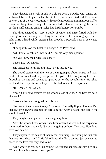They decided on a well-lit pub two blocks away, crowded with diners but with available seating at the bar. Most of the places he visited with Enzo were quieter, out-of-the way locations with excellent food and minimal foot traffic. Chris had forgotten the appeal of a crowded restaurant, neon lights, and a bustling staff, darting among tables like birds hungry for crumbs.

The three decided to share a bottle of wine, and Enzo flirted with her, pouring for her, praising her, telling her he admired her speaking style. Enzo held Chris's hand while praising her brooch, a peacock with a bejeweled fantail.

"I bought this on the butcher's bridge," Dr. Pretti said.

"Ah, Ponte Vecchio," Enzo said. "It seems very nice quality."

"So you know the bridge's history?"

Enzo said, "Of course."

She picked up her glass and said, "I was testing you."

She traded stories with the two of them, gossiped about artists, and local politics from four hundred years prior. She grilled Chris regarding his visits throughout the city and seemed to approve of how he spent his time. He asked her the detailed questions he hoped to, thrilled to hear her responses.

"Il Gigante?" she asked.

"Yes," Chris said, excited by his second glass of wine. "The David's got a nice cock."

Enzo laughed and coughed into his hand.

She waved the comment away. "It's small. Eternally floppy. Useless. But that *ass*. I've always dreamed of caressing it." After a pause, she said, "We should break in."

They laughed and planned their imaginary heist.

After the second bottle of wine had been ordered as well as tuna carpaccio, she turned to them and said, "So what's going on here. You two. How long have you dated?"

They explained the details of their recent courtship—including the first date that was not a date—and Chris felt relieved that Enzo seemed just as eager to describe the love that they had found.

"And where do you see this going?" She tipped her glass toward her lips. "You go home in a week or two, yes?"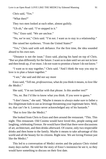Chris said, "Yes."

"What then?"

They two men looked at each other, almost guiltily.

"Uh oh," she said. "I've stepped in it."

"No," Enzo said. "We are unclear."

"No, we're not," Chris said. "I'm not. I want us to stay in a relationship."

She raised her eyebrows. "From the United States?"

"Yes," Chris said with soft defiance. For the first time, the idea sounded absurd to his own ears.

"Distance is not the issue," Enzo said, placing his hand on top of Chris. "But we plan differently for the future. I want us to date until we are not in love and then break up, if we must. I do not want to promise a future I do not know."

"I want us to stay together," Chris said. "And I think the way you *stay* in love is to plan a future together."

"I see," she said and did not say more

Enzo said, "Tell me, *professoressa*, what do you think it means, to *love like the Medici*."

She said, "I'm not familiar with that phrase. Is this another test?"

"No, no. But I'd like to know what you think. If you were to guess."

"I don't know," she said. "Maybe it means to always make sure to father a few illegitimate kids to use as leverage threatening your legitimate heirs. Well, no, that can't be it. Lorenzo never acknowledged any of his bastards."

"But to *love* like the Medici."

She looked from Chris to Enzo and then around the restaurant. "This. This night. This restaurant. Old Cosimo would have loved this, people eating and laughing, celebrating Firenze. He would have liked that there were discussions of art, architecture, and then drinks afterward. Of course, only two respectable drinks and then home to the family. Maybe it means to take advantage of this world and all the beauty for its citizens. Right now. We are loving Firenze just like the Medici."

This led to a conversation of Medici stories and the palazzo Chris visited many days earlier. He told her the story of Enzo's insistence he see it, so they would have something to discuss on their first date.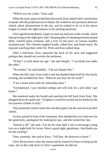"Which was not a date," Enzo said.

When the tuna carpaccio had been devoured, Enzo asked Chris's permission to speak with the *professoressa* in Italian. He wished to ask questions about art school, about advancement in the arts, and he wished to do so in his native tongue to ensure the right nuances in his probing questions.

Chris agreed immediately, happy to zone out and stare at the crowds, which kept growing as the night grew later. Heaping piles of steaming mussels passed them, colorful pasta creations, and a river of red sauce on various noodles streamed past. The clientele laughed loudly, talked fast, and drank much. He enjoyed watching them while Dr. Pretti and Enzo talked shop.

After a half-hour, Enzo squeezed the back of his neck and suggested perhaps they should not overtire the professor.

"If that's a crack about my age," she said sharply, "I can drink you under the table."

"No doubts," he said humbly. "I do not dispute this."

When the bill came, Enzo took it and she thanked them both for the lovely evening and wrinkled her face. "What do you boys do for work?"

"I am a street artist until my internship starts."

"Unemployed. I just finished college and will look for a job when I get home"

She muttered under her breath and snatched the bill back from Enzo. She plopped down her gold card. "It figures I would be invited out for drinks by the two poorest schlubs in Italy."

They protested, tried to insist she was their guest, but she waived away their claims.

As they parted in front of the restaurant, they thanked her over and over for her generosity, apologized for making her pay, and she twisted her lips.

"Knock it off," she said. "Let me do what little I can to encourage young love on a night built for lovers. Have a good night, gentlemen. And thank you for the evening."

Then, earnestly, she said to Enzo, "Tell him. He deserves to know."

Chris did not know what she meant and he waited for Enzo to bring up the topic, but on the walk back to Chris's apartment, he did not.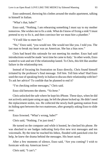Enzo undressed, throwing his clothes around the studio apartment, talking to himself in Italian.

"What's that, babe?"

Enzo said, "Nothing. I am rehearsing something I must say to my mother tomorrow. She wishes me to fix a sink. What do I know of fixing a sink? I must pretend to try to fix it, and then convince her we must hire a plumber."

"I'd still like to meet her."

"No," Enzo said, "you would not. She would not like you. I told you. The last man to break my heart was an American. She has a bias now."

Chris had heard this rationale for not meeting his mother. Enzo had said introductions would be made 'next time he came to Italy.' In other words, Enzo wanted to wait and see if the relationship lasted. To Chris, this felt like another failure in the relationship test.

Instead of focusing his frustration on Enzo directly, Chris found himself irritated by the professor's final message. *Tell him*. Tell him what? Had Enzo used the ruse of speaking freely in Italian to discuss their relationship with her? To ask her advice? To confide that he planned to end it?

"I'm checking online messages," Chris said.

Enzo slid between the sheets. "*Va bene*."

Chris unlocked the safe where he kept his iPhone. These days, when he did not actively anticipate using an app, he left the phone locked up. He didn't need the replacement stolen, too. He collected the newly-built gaming station from its hiding spot between the two mattresses, after grumpily asking Enzo to slide over.

Enzo frowned. "What's wrong, babe?"

Chris said, "Nothing. I'm just tired."

He turned on the computer and while it booted, he checked his phone. He was shocked to see badges indicating forty-five new text messages and ten voicemails. By the time he reached his Inbox, flooded with panicked cries for help, he knew the drama behind the messages. His heart raced.

After a few moments of silence, Enzo said, "Are you coming? I wish to fornicate with my American lover."

Chris said, "I can't."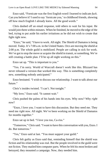Enzo said, "Fornicate was the first English word I learned to indicate *fuck*. Can you believe it? I used to say 'fornicate you,' to childhood friends, showing off how much English I already knew. All the good words."

Chris dashed off an email response, told others to wait for his input. He would join them within minutes. When he finished, he moved to the edge of the bed, trying to put aside his earlier irritations as he did not wish to create that fight right now.

"Enzo," he said, "I have to work. All night. The Shield of Damatos is being moved. *Today*. It's 7:00 a.m. in the United States. Orcs are moving the shield at 2:00 p.m. The whole guild is mobilized. People are calling in sick for work. We've got to stop the move or acquire the shield in transit, or something. We're still creating a battle plan. I'll be up all night working on this."

Enzo sat up. "This is important to you."

"Yes. I'm sorry. World of Warcraft doesn't work like this. Blizzard has never released a version that worked this way. This is something completely new, something nobody anticipated."

Enzo hesitated. "I wish to discuss our relationship. I want to talk about our future."

Chris's insides twisted. "I can't. Not tonight."

"My love," Enzo said. "It cannot wait."

Chris pushed the palms of his hands into his eyes. Why now? Why *right now*?

"Enzo, I love you. I want to have this discussion. But they need me. They need me *right now*. All night. We've been working on the Shield of Damatos for months together."

Enzo sat up in bed. "I love you too, Ca-riss."

"Tomorrow," Chris said. "I want to have this conversation with you, Enzo. I do. But tomorrow."

"Yes," Enzo said at last. "You must support your guild."

Chris felt guilty as Enzo said that, reminding himself that the shield was fiction and his relationship was real. But the people involved in the guild were not fiction. They mailed him computer parts. When he felt his most broken and betrayed, they mounted a campaign. Now, they needed him.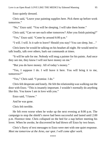Enzo quietly dressed.

Chris said, "Leave your painting supplies here. Pick them up before work tomorrow."

"No," Enzo said. "You will be sleeping. I will take them home."

Chris said, "Can we see each other tomorrow? After you finish painting?"

"Yes," Enzo said. "Come by around 6:00 p.m."

"I will. I will. Is it safe to leave? Should you stay? You can sleep, but…"

Chris knew he would be talking on his headset all night. He would need to talk loudly, talk over others, bark out commands at times.

"It will be safe for me. Nobody will mug a painter for his paints. And once they see me, they know I will not have money on me."

"But you do have money. All of today's money."

"Yes, I suppose I do. I will leave it here. You will bring it to me, tomorrow?"

"Yes," Chris said. "I promise. I do."

Chris felt desperate and lonely. He felt the relationship was walking out the door with Enzo. "This is insanely important. I wouldn't normally do anything like this. You know I am in love with you."

Enzo said, "I know."

And he was gone.

Chris felt terrible.

He felt even worse when he woke up the next evening at 8:00 p.m. The campaign to stop the shield's move had been successful and lasted until 2:00 p.m. Florence time. Chris collapsed on the bed for a nap before meeting his lover. When he awoke, he discovered he had blown off Enzo by two hours.

Chris's flurry of text messages to Enzo were met with one quiet response. *Meet me tomorrow at the Arno, our spot. I will come after work.*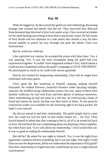When he logged on, he discovered the guild was still celebrating, discussing strategy that worked and details that did not. They marveled how Blizzard Entertainment kept this kind of plot twist under wrap. Chris received accolades for his rapid healing, preventing at least three cataclysmic wipes. He led a team of feral druids and two shamans in a side attack that cleared a way for their newest paladin to punch his way through and grab the shield. Chris was instrumental.

But he could not celebrate.

Like a grizzled war veteran, he accepted the praise with false cheer. Yes, it was amazing. Yes, it was the most triumphant thing the guild had ever experienced together. It couldn't have happened without Chris, which meant it could not have happened without the guild's campaign to SAVE THE PRIEST. He participated as much as he could with sincere gratitude.

Had he not trashed his burgeoning relationship, Chris felt he might have celebrated with more gusto.

Chris spent the day muttering to himself, arguing, making himself frustrated. He walked Florence, beautiful Florence under dazzling sunlight, unaware. He shuffled along cobblestones streets, but now, many of these were familiar walkways he trod with Enzo and bore ghosts of pleasant memories. After remembering he had not eaten in a full day, he tried buying a hunk of bread and cheese for lunch, but that was their lunch in Siena. At one point he realized his wallet was available for the snatching right in his back pocket. He hadn't even noticed.

He did not intend to end their relationship. The guild simply had to come first. He could not turn his back on that online family for… for love. Chris forced himself to admit that after wanting to feel it, all of it, he turned his back on love. He had been the one complaining about not planning a future together, but when Enzo said, "Let's talk about our relationship," Chris kicked him out. It was as good as ending the relationship himself.

But did he? He asked for one night to himself. Yes, it was the night Enzo apparently wanted to tell him something, but it was one night. *One night*! Could Enzo not see the desperation, did he not understand the importance of his guild? Was their relationship so fragile that they could break up over a single delayed conversation?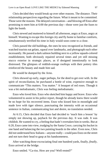Chris decided they would break up over other reasons. The distance. Their relationship perspectives regarding the future. What it meant to be committed. Those were the reasons. The delayed conversation—and blowing off Enzo after promising to meet him at 6:00 the previous day—those were just the fuses to light the bomb.

Chris stewed and muttered to himself all afternoon, angry at Enzo, angry at himself. Wanting to escape this foreign city and fly home to familiar comforts, simultaneously terrified his time in Italy would soon come to a close.

Chris passed the old buildings, the ones he now recognized as friends, and watched tourists eat gelato, squeal over landmarks, and photograph each other incessantly. He passed a dark salmon building next to a yellow squash-colored establishment, both obviously repaired several times and yet still missing stucco exterior in strategic places, as if designed intentionally to look distressed. The glimpses of reddish-orange rooftops with their pottery tiles reinforced the beauty and made him sad.

He would be dumped by the Arno.

Chris showed up early, eager perhaps, for the deed to get over with. In the spirit of reconciliation, he purchased a bottle of wine, expensive enough to communicate "This matters. You matter." A bouquet of red roses. Though it was a bit melodramatic, Chris was feeling melodramatic.

Enzo who loved him. Enzo who sketched him happy and brave. Enzo who volunteered to assist in his police report, though he already knew there would be no hope for his recovered items. Enzo who kissed him in moonlight and made love with tiger silence, punctuating the intensity with an occasional sentence in Italian, communicating lust and desire, no translation needed.

At 6:15, Chris decided that Enzo had decided to 'teach him a lesson' by simply not showing up, payback for the previous day. It was rude. It was childish. He wanted to cry, a feeling that hadn't overtaken him in weeks. But at 6:20, Enzo came into view, trudging by the Santa Croce, carrying his bucket in one hand and balancing the two painting boards in the other. Even now, Chris did not understand how Italians—anyone really—could pass Enzo on the street and not turn their head to gasp at his handsomeness.

After watching those excruciating final one hundred yards, finally, *finally*, Enzo arrived at the bridge.

Enzo smiled. "Ca-riss. How are you? Well-rested?"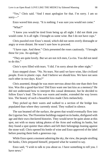"Yes," Chris said. "And I must apologize for that. I'm sorry. I am so sorry—"

Enzo waved him away. "It is nothing. I was sure you would not come."

"What?"

"I knew you would be tired from being up all night. I did not think you would come. It is all right. I brought us some wine. But I do not have cups."

Chris puzzled over Enzo's mood, which did not seem overly distraught or angry or even distant. He wasn't sure how to proceed.

"I have cups. And these." Chris presented the roses cautiously. "I brought these for you. An apology."

"They are quite lovely. But we are not rich men, Ca-riss. You did not need to do this."

Chris's eyes filled with tears. "I did. I'm sorry about the other night."

Enzo stepped closer. "No. No tears. Not until we have wine, like civilized people. Even in plastic cups. And I believe we should kiss. We have not seen each other in two days. Kiss?"

Chris assented, though he was more nervous about this one than their first kiss. Was this a good-bye kiss? Did Enzo want one last kiss as a memory? He did not understand how to interpret this casual demeanor, but he decided to follow Enzo's lead. The kiss was warm and tender, extended the way lovers kiss. The beauty of such a beautiful kiss made Chris melancholy.

They picked up their wares and walked to a section of the bridge less populated than where they currently stood. They walked in silence.

The sun beamed off the surface, the green that would eventually flow into the Ligurian Sea. The Florentine buildings napped on its banks, disfigured with age and their own checkered histories. They would never be quite alone at this spot, not with so many taking photos of the Arno and walking its banks, but they found a spot quieter than others and left their belongings leaning against the stone wall. Chris opened his bottle of wine and Enzo approved of the label before pouring them both a generous cup.

While Enzo spent a moment admiring the sky, the view, the people strolling the banks, Chris prepared himself, prepared what he wanted to say.

Enzo said, "I wish to talk to you about us. I have something to tell you. I have news."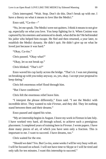Chris interrupted. "Wait. Stop. Don't do this. Don't break up with me. I have a theory on what it means to love like the Medici."

Enzo said, "Ca-riss—"

"No, let me speak. The Medici were not quitters. I think it means to not give up, especially on what you love. You keep fighting for it. When Cosimo was captured by his enemies and sentenced to death, what did he do? He befriended his jailor who helped him escape. He fled and then returned, a year later, to establish the Medici dynasty. He didn't quit. He didn't give up on what he loved just because it was hard."

"Okay, Ca-riss." Chris paused. "Okay what?" "Okay, let us not break up." Chris blinked. "That's it?"

Enzo waved his cup lazily across the bridge. "That's it. I was not planning on breaking up with you today anyway, so, yes, okay. I accept your proposal to keep dating."

Chris felt enormous relief flood through him.

"But I have conditions."

Chris felt the enormous relief leave him.

"I interpret the phrase differently," Enzo said. "I see the Medici with incredible drive. They wanted to rule *Firenze*, and they did. They let nothing stand between them and their dreams."

Enzo paused and sipped his wine.

"My art internship begins in August. I leave my work in Firenze in late July. I have worked very hard, all through school, to achieve such a prestigious placement. I completed years of training here in *Firenze*. I wrote papers. I have done many pieces of art, of which you have seen only a fraction. This is important to me. I want to succeed. I have dreams, too."

Chris waited for the rest.

"Should we date? Yes. But Ca-riss, some weeks I will be very busy with art. I will be focused on school. I will not have time to Skype or I will be tired and only talk for ten minutes. I want this internship to succeed."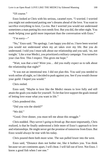"Of course."

Enzo looked at Chris with his serious, caramel eyes. "I worried. I worried you might not understand putting one's dreams ahead of the love. You want to sacrifice everything to love, Ca-riss. But I worried you would not understand sometimes a man putting his own needs first. But you did, the other night. You made helping your guild more important than the conversation with Enzo."

"I'm sorry—"

"No," Enzo said. "No apology. I am happy you did so. I have been worried you would not understand when my art takes over my life. But you *do* understand. I told you I must talk about our relationship and you said, 'no, not tonight.' Like a true Medici, you prioritized a military campaign. You turned to your clan first. This I respect. This gives me hope."

"Wait, was that a test? Were you… did you really expect us to talk about the relationship that night?"

"It was not an intentional test. I did not plan this. You said you needed to work online all night, so I decided to push against you. See if you would choose your guild. I hoped you would."

Chris reeled.

Enzo said, "Maybe to love like the Medici means to love fully and still attain the goals you make for yourself. To let that love support the goals instead of letting love erase what you want in life."

Chris pondered this.

"Did you win the shield?"

"We did."

"Good. Over dinner, you must tell me about this struggle."

Chris nodded. *They weren't going to break up*. But more importantly, Chris realized, is that he finally understood a little more of Enzo's approach to love and relationships. He might never get the promise of tomorrow from Enzo. But Enzo would always be true with his today.

Chris poured them both more wine. The sun pulled lower into the west.

Enzo said, "Distance does not bother me, like it bothers you. You think because we are continents apart, I will cheat. I will fall out of love. Not Enzo. I know a good fish when I see one."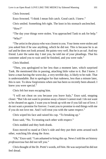Chris frowned.

Enzo frowned. "I think I mean fish catch. Good catch. I knew."

Chris smiled. Something felt right. The knot in his stomach unclenched.

"How"

"The day your things were stolen. You approached Tank to ask for help." "Who?"

"The artist in the piazza who was closest to you. Your items were stolen and you asked him if he saw anything, which he did not. This is because he is an oaf and he does not look around. He paints very well. But he is an oaf. And my friend. Later the same day I met you, he told me of your pleadings. That his customer asked you to wait until he finished, and you were rude."

Chris blushed.

"Then, you apologized to her less than a moment later, which surprised Tank. He mentioned this in passing, attaching little value to it. But I knew. I knew a man having the worst day, a very terrible day, is likely to be rude. That is understandable. But to apologize for that rudeness, less than a minute later, this is rare. To show forgiveness when one has been so recently been abused. I knew you were special."

Chris felt hot tears escaping him.

"I will not cheat on you because you leave Italy," Enzo said, stepping closer. "But I do not want to promise away a future I cannot read. I do not want to be cheated on again. I want you to break up with me if you fall out of love. I do not want a promise for forever. I want you to promise to end things with me if you do not love me. And I will treat you with the same respect."

Chris wiped his face and raised his cup. "To breaking up."

Enzo said, "No. To treating each other with respect."

Chris nodded and they both drank.

Enzo moved to stand at Chris's side and they put their arms around each other, watching life along the Arno.

"Oh," Enzo said. "I am ashamed to bring this up. News I told the art history *professoressa* but did not tell you."

Chris thought of the Dr. Pretti's words, *tell him*. He was surprised he did not feel dread.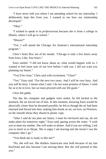"I have never told you where I am attending school for my internship. I deliberately kept this from you. I wanted to see how our relationship developed."

"Okay."

"I wished to speak to *la professoressa* because she is from a college in Illinois, where I will go to school."

"Illinois?"

"Yes. I will attend the Chicago Art Institute's international internship program."

Chris's heart flew out of his mouth. "Chicago is only a few hours away from Iowa. Like, four hours."

Enzo smiled. "I did not know about us, what would happen with us. I wanted to feel more sure of our love before I told you. I did not want you planning our future."

"You'll be close," Chris said with excitement. "*Close*!"

"Yes," Enzo said. "For the next two years. And I will be very busy. And you will be busy. I meant what I said. I do not want promise of future. I wish for us to be in love, but we must proceed with our life goals."

Chris felt giddy.

The day his computer and gadgets were stolen, he felt kicked in the stomach, the air forced out of him. In this moment, knowing Enzo would be physically closer than he dreamed possible, he felt as though the air had been returned and forced into him, making him drunk on air, on love, on Florence, on the smooth shiraz they shared in plastic cups.

"After I said do not plan our future, I must be red-faced and say, do not make plans for tomorrow night," Enzo said, gazing across the water. "I wish you to meet my mother. She will make us dinner. And if you are willing, I ask you to teach us to Skype. She is angry I am leaving and she insists I use the computer after I go."

"You think she is ready to like me?"

"No, she will not. She dislikes Americans now both because of my last boyfriend and also because I am moving there. But she will pretend to like you."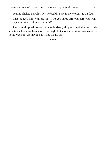Feeling choked up, Chris felt he couldn't say many words. "It's a date."

Enzo nudged him with his hip. "Are you sure? Are you sure you won't change your mind, midway through?"

The sun dropped lower on the horizon, dipping behind ramshackle structures, homes or businesses that might last another thousand years near the Ponte Vecchio. Or maybe not. Time would tell.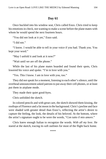Once buckled into his window seat, Chris called Enzo. Chris tried to keep his emotions in check, not wanting to make a scene before the plane mates with whom he would spend the next fourteen hours.

"You did not look at it yet," Enzo said.

"I did not."

"I know. I would be able to tell in your voice if you had. Thank you. You kept your word."

"May I unfold it and look at it now?"

"Wait until we are off the phone."

While the last of his plane mates boarded and found their spots, Chris lowered his voice and spoke. "I'm in love with you."

"Yes. This I know. I am in love with you, too."

They did not speak for a moment, listening to each other's silence, until the overhead announcement asked patrons to put away their cell phones, or at least put them in airplane mode.

They made their quiet good-byes.

Chris unfolded the sketch.

In colored pencils and with great care, the sketch showed them kissing, the rooftops of Florence and a fat moon in the background. Chris's jawline and face were shaded with greater detail than Enzo's, reflecting the artist's desire to capture the feeling, the look, the details of his beloved. At the bottom, where the artist's signature ought to be were the words, "*Con tutto il mio amore*."

Chris knew enough Italian to recognize the words. *With all my love*. He stared at the sketch, tracing its soft outlines for most of the flight back home.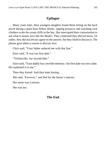# **Epilogue**

Many years later, their youngest daughter found them sitting on the back porch during a quiet hour before dinner, sipping prosecco and watching rock climbers scale the ocean cliffs in the bay. She interrupted their conversation to ask what it meant, *love like the Medici*. They confessed they did not know. Or rather, they did not always agree on the answer, but they liked to discuss it. The phrase gave them a reason to discuss love.

Chris said, "Your father seduced me with that line."

Enzo said, "It was our first date."

"Technically, our second date."

Enzo said, "Your daddy has a terrible memory. Our first date was *not* a date. He explained it to me."

Then they kissed. And they kept kissing.

She said, "Ewwww," and fled for the house's interior.

Her name was Lorenza.

She was ten.

# **The End**